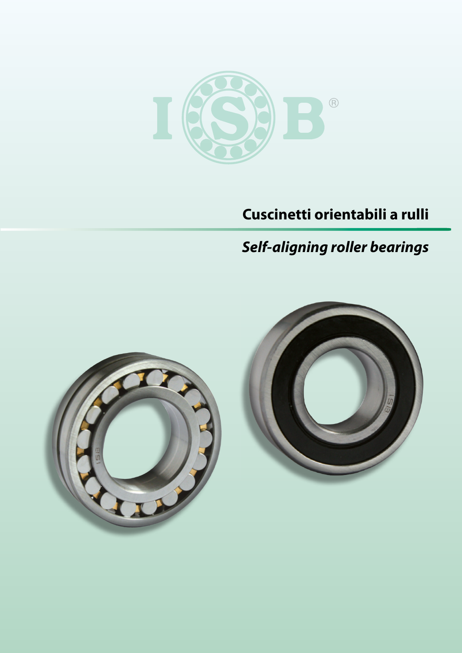

# **Cuscinetti orientabili a rulli**

# *Self-aligning roller bearings*

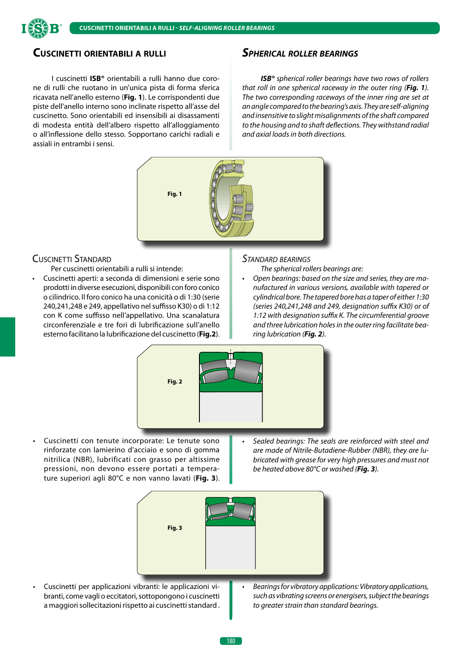

# **Cuscinetti orientabili a rulli**

I cuscinetti **ISB®** orientabili a rulli hanno due corone di rulli che ruotano in un'unica pista di forma sferica ricavata nell'anello esterno (**Fig. 1**). Le corrispondenti due piste dell'anello interno sono inclinate rispetto all'asse del cuscinetto. Sono orientabili ed insensibili ai disassamenti di modesta entità dell'albero rispetto all'alloggiamento o all'inflessione dello stesso. Sopportano carichi radiali e assiali in entrambi i sensi.

#### *Spherical roller bearings*

*ISB® spherical roller bearings have two rows of rollers that roll in one spherical raceway in the outer ring (Fig. 1). The two corresponding raceways of the inner ring are set at an angle compared to the bearing's axis. They are self-aligning and insensitive to slight misalignments of the shaft compared to the housing and to shaft deflections. They withstand radial and axial loads in both directions.*



# Cuscinetti Standard

Per cuscinetti orientabili a rulli si intende:

• Cuscinetti aperti: a seconda di dimensioni e serie sono prodotti in diverse esecuzioni, disponibili con foro conico o cilindrico. Il foro conico ha una conicità o di 1:30 (serie 240,241,248 e 249, appellativo nel suffisso K30) o di 1:12 con K come suffisso nell'appellativo. Una scanalatura circonferenziale e tre fori di lubrificazione sull'anello esterno facilitano la lubrificazione del cuscinetto (**Fig.2**).

#### *Standard bearings*

*The spherical rollers bearings are:*

• *Open bearings: based on the size and series, they are manufactured in various versions, available with tapered or cylindrical bore. The tapered bore has a taper of either 1:30 (series 240,241,248 and 249, designation suffix K30) or of 1:12 with designation suffix K. The circumferential groove and three lubrication holes in the outer ring facilitate bearing lubrication (Fig. 2).*



- Cuscinetti con tenute incorporate: Le tenute sono rinforzate con lamierino d'acciaio e sono di gomma nitrilica (NBR), lubrificati con grasso per altissime pressioni, non devono essere portati a temperature superiori agli 80°C e non vanno lavati (**Fig. 3**).
- *Sealed bearings: The seals are reinforced with steel and are made of Nitrile-Butadiene-Rubber (NBR), they are lubricated with grease for very high pressures and must not be heated above 80°C or washed (Fig. 3).*



- Cuscinetti per applicazioni vibranti: le applicazioni vibranti, come vagli o eccitatori, sottopongono i cuscinetti a maggiori sollecitazioni rispetto ai cuscinetti standard .
- *Bearings for vibratory applications: Vibratory applications, such as vibrating screens or energisers, subject the bearings to greater strain than standard bearings.*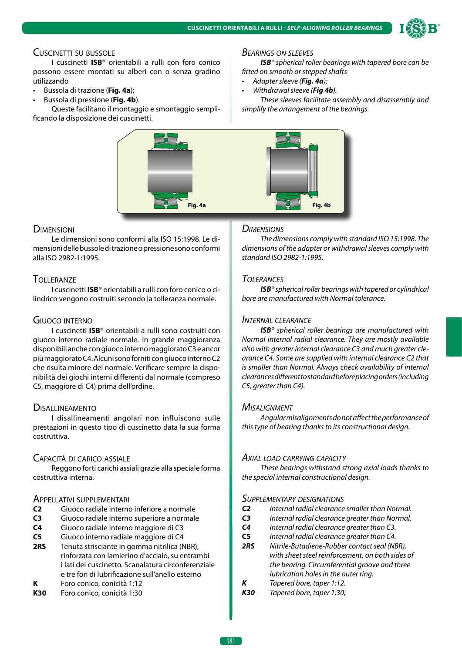

#### Cuscinetti su bussole

I cuscinetti **ISB®** orientabili a rulli con foro conico possono essere montati su alberi con o senza gradino utilizzando

- Bussola di trazione (**Fig. 4a**);
- Bussola di pressione (**Fig. 4b**).

Queste facilitano il montaggio e smontaggio semplificando la disposizione dei cuscinetti.

# **Fig. 4a Fig. 4b Fig. 4b**

#### **DIMENSIONI**

Le dimensioni sono conformi alla ISO 15:1998. Le dimensioni delle bussole di trazione o pressione sono conformi alla ISO 2982-1:1995.

#### **TOLLERANZE**

I cuscinetti **ISB®** orientabili a rulli con foro conico o cilindrico vengono costruiti secondo la tolleranza normale.

#### Giuoco interno

I cuscinetti **ISB®** orientabili a rulli sono costruiti con giuoco interno radiale normale. In grande maggioranza disponibili anche con giuoco interno maggiorato C3 e ancor più maggiorato C4. Alcuni sono forniti con giuoco interno C2 che risulta minore del normale. Verificare sempre la disponibilità dei giochi interni differenti dal normale (compreso C5, maggiore di C4) prima dell'ordine.

#### **DISALLINEAMENTO**

I disallineamenti angolari non influiscono sulle prestazioni in questo tipo di cuscinetto data la sua forma costruttiva.

#### Capacità di carico assiale

Reggono forti carichi assiali grazie alla speciale forma costruttiva interna.

#### Appellativi supplementari

- **C2** Giuoco radiale interno inferiore a normale
- **C3** Giuoco radiale interno superiore a normale
- **C4** Giuoco radiale interno maggiore di C3
- **C5** Giuoco interno radiale maggiore di C4
- **2RS** Tenuta strisciante in gomma nitrilica (NBR), rinforzata con lamierino d'acciaio, su entrambi i lati del cuscinetto. Scanalatura circonferenziale e tre fori di lubrificazione sull'anello esterno
- **K** Foro conico, conicità 1:12
- **K30** Foro conico, conicità 1:30

#### *Bearings on sleeves*

*ISB® spherical roller bearings with tapered bore can be fitted on smooth or stepped shafts* 

- *Adapter sleeve (Fig. 4a);*
- *Withdrawal sleeve (Fig 4b).*

*These sleeves facilitate assembly and disassembly and simplify the arrangement of the bearings.*



#### *Dimensions*

*The dimensions comply with standard ISO 15:1998. The dimensions of the adapter or withdrawal sleeves comply with standard ISO 2982-1:1995.*

#### *Tolerances*

*ISB® spherical roller bearings with tapered or cylindrical bore are manufactured with Normal tolerance.*

#### *Internal clearance*

*ISB® spherical roller bearings are manufactured with Normal internal radial clearance. They are mostly available also with greater internal clearance C3 and much greater clearance C4. Some are supplied with internal clearance C2 that is smaller than Normal. Always check availability of internal clearances different to standard before placing orders (including C5, greater than C4).*

#### *Misalignment*

*Angular misalignments do not affect the performance of this type of bearing thanks to its constructional design.*

#### *Axial load carrying capacity*

*These bearings withstand strong axial loads thanks to the special internal constructional design.*

#### *Supplementary designations*

- *C2 Internal radial clearance smaller than Normal.*
- *C3 Internal radial clearance greater than Normal.*
- *C4 Internal radial clearance greater than C3.*
- **C5** *Internal radial clearance greater than C4.*
- *2RS Nitrile-Butadiene-Rubber contact seal (NBR), with sheet steel reinforcement, on both sides of the bearing. Circumferential groove and three lubrication holes in the outer ring.*
- *K Tapered bore, taper 1:12.*
- *K30 Tapered bore, taper 1:30;*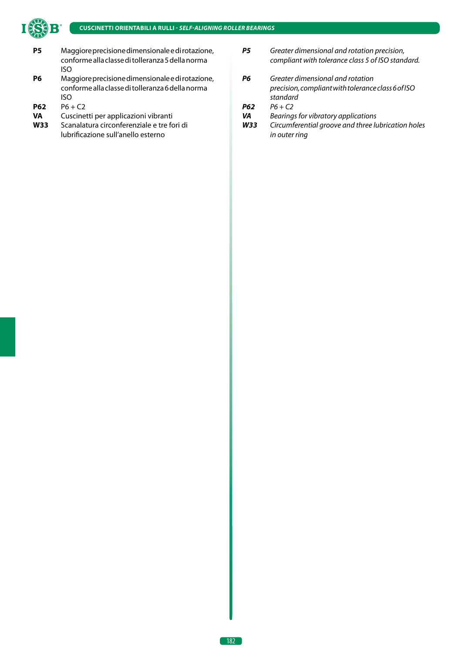

- **P5** Maggiore precisione dimensionale e di rotazione, conforme alla classe di tolleranza 5 della norma ISO
- **P6** Maggiore precisione dimensionale e di rotazione, conforme alla classe di tolleranza 6 della norma ISO
- **P62**  $P6 + C2$
- **VA** Cuscinetti per applicazioni vibranti
- **W33** Scanalatura circonferenziale e tre fori di lubrificazione sull'anello esterno
- *P5 Greater dimensional and rotation precision, compliant with tolerance class 5 of ISO standard.*
- *P6 Greater dimensional and rotation precision, compliant with tolerance class 6 of ISO standard*
- *P62 P6 + C2*
- *VA Bearings for vibratory applications*
- *W33 Circumferential groove and three lubrication holes in outer ring*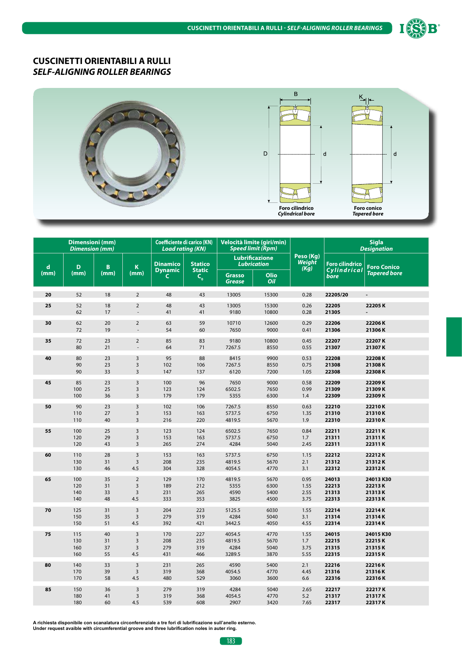



|             | <b>Dimensioni</b> (mm)<br><b>Dimension (mm)</b> |          |                         | <b>Coefficiente di carico (KN)</b><br><b>Load rating (KN)</b> |                                               |                                | Velocità limite (giri/min)<br><b>Speed limit (Rpm)</b> |                             | <b>Sigla</b><br><b>Designation</b> |                     |
|-------------|-------------------------------------------------|----------|-------------------------|---------------------------------------------------------------|-----------------------------------------------|--------------------------------|--------------------------------------------------------|-----------------------------|------------------------------------|---------------------|
| $\mathbf d$ | D                                               | B        | K                       | <b>Dinamico</b>                                               | <b>Statico</b>                                |                                | <b>Lubrificazione</b><br><b>Lubrication</b>            | Peso (Kg)<br>Weight<br>(Kg) | <b>Foro cilindrico</b>             | <b>Foro Conico</b>  |
| (mm)        | (mm)                                            | (mm)     | (mm)                    | <b>Dynamic</b><br>C                                           | <b>Static</b><br>$\mathsf{C}_{_{\mathbf{0}}}$ | <b>Grasso</b><br><b>Grease</b> | Olio<br>Oil                                            |                             | Cylindrical<br>bore                | <b>Tapered bore</b> |
| 20          | 52                                              | 18       | $\overline{2}$          | 48                                                            | 43                                            | 13005                          | 15300                                                  | 0.28                        | 22205/20                           | $\blacksquare$      |
| 25          | 52<br>62                                        | 18<br>17 | $\overline{2}$          | 48<br>41                                                      | 43<br>41                                      | 13005<br>9180                  | 15300<br>10800                                         | 0.26<br>0.28                | 22205<br>21305                     | 22205K              |
| 30          | 62<br>72                                        | 20<br>19 | $\overline{2}$          | 63<br>54                                                      | 59<br>60                                      | 10710<br>7650                  | 12600<br>9000                                          | 0.29<br>0.41                | 22206<br>21306                     | 22206K<br>21306K    |
| 35          | 72<br>80                                        | 23<br>21 | $\overline{2}$          | 85<br>64                                                      | 83<br>71                                      | 9180<br>7267.5                 | 10800<br>8550                                          | 0.45<br>0.55                | 22207<br>21307                     | 22207K<br>21307K    |
| 40          | 80                                              | 23       | $\overline{3}$          | 95                                                            | 88                                            | 8415                           | 9900                                                   | 0.53                        | 22208                              | 22208K              |
|             | 90                                              | 23       | $\mathsf 3$             | 102                                                           | 106                                           | 7267.5                         | 8550                                                   | 0.75                        | 21308                              | 21308K              |
|             | 90                                              | 33       | $\overline{3}$          | 147                                                           | 137                                           | 6120                           | 7200                                                   | 1.05                        | 22308                              | 22308K              |
| 45          | 85                                              | 23       | $\overline{3}$          | 100                                                           | 96                                            | 7650                           | 9000                                                   | 0.58                        | 22209                              | 22209K              |
|             | 100                                             | 25       | $\overline{3}$          | 123                                                           | 124                                           | 6502.5                         | 7650                                                   | 0.99                        | 21309                              | 21309K              |
|             | 100                                             | 36       | $\overline{3}$          | 179                                                           | 179                                           | 5355                           | 6300                                                   | 1.4                         | 22309                              | 22309K              |
| 50          | 90                                              | 23       | $\overline{3}$          | 102                                                           | 106                                           | 7267.5                         | 8550                                                   | 0.63                        | 22210                              | 22210K              |
|             | 110                                             | 27       | $\overline{3}$          | 153                                                           | 163                                           | 5737.5                         | 6750                                                   | 1.35                        | 21310                              | 21310K              |
|             | 110                                             | 40       | $\overline{3}$          | 216                                                           | 220                                           | 4819.5                         | 5670                                                   | 1.9                         | 22310                              | 22310K              |
| 55          | 100                                             | 25       | $\mathsf 3$             | 123                                                           | 124                                           | 6502.5                         | 7650                                                   | 0.84                        | 22211                              | 22211K              |
|             | 120                                             | 29       | $\overline{3}$          | 153                                                           | 163                                           | 5737.5                         | 6750                                                   | 1.7                         | 21311                              | 21311K              |
|             | 120                                             | 43       | $\overline{3}$          | 265                                                           | 274                                           | 4284                           | 5040                                                   | 2.45                        | 22311                              | 22311K              |
| 60          | 110                                             | 28       | $\overline{3}$          | 153                                                           | 163                                           | 5737.5                         | 6750                                                   | 1.15                        | 22212                              | 22212K              |
|             | 130                                             | 31       | $\overline{\mathbf{3}}$ | 208                                                           | 235                                           | 4819.5                         | 5670                                                   | 2.1                         | 21312                              | 21312K              |
|             | 130                                             | 46       | 4.5                     | 304                                                           | 328                                           | 4054.5                         | 4770                                                   | 3.1                         | 22312                              | 22312K              |
| 65          | 100                                             | 35       | $\overline{2}$          | 129                                                           | 170                                           | 4819.5                         | 5670                                                   | 0.95                        | 24013                              | 24013K30            |
|             | 120                                             | 31       | $\overline{3}$          | 189                                                           | 212                                           | 5355                           | 6300                                                   | 1.55                        | 22213                              | 22213K              |
|             | 140                                             | 33       | $\overline{3}$          | 231                                                           | 265                                           | 4590                           | 5400                                                   | 2.55                        | 21313                              | 21313K              |
|             | 140                                             | 48       | 4.5                     | 333                                                           | 353                                           | 3825                           | 4500                                                   | 3.75                        | 22313                              | 22313K              |
| 70          | 125                                             | 31       | $\overline{3}$          | 204                                                           | 223                                           | 5125.5                         | 6030                                                   | 1.55                        | 22214                              | 22214K              |
|             | 150                                             | 35       | $\overline{3}$          | 279                                                           | 319                                           | 4284                           | 5040                                                   | 3.1                         | 21314                              | 21314K              |
|             | 150                                             | 51       | 4.5                     | 392                                                           | 421                                           | 3442.5                         | 4050                                                   | 4.55                        | 22314                              | 22314K              |
| 75          | 115                                             | 40       | $\overline{\mathbf{3}}$ | 170                                                           | 227                                           | 4054.5                         | 4770                                                   | 1.55                        | 24015                              | 24015K30            |
|             | 130                                             | 31       | $\overline{\mathbf{3}}$ | 208                                                           | 235                                           | 4819.5                         | 5670                                                   | 1.7                         | 22215                              | 22215K              |
|             | 160                                             | 37       | $\overline{\mathbf{3}}$ | 279                                                           | 319                                           | 4284                           | 5040                                                   | 3.75                        | 21315                              | 21315K              |
|             | 160                                             | 55       | 4.5                     | 431                                                           | 466                                           | 3289.5                         | 3870                                                   | 5.55                        | 22315                              | 22315K              |
| 80          | 140                                             | 33       | $\overline{3}$          | 231                                                           | 265                                           | 4590                           | 5400                                                   | 2.1                         | 22216                              | 22216K              |
|             | 170                                             | 39       | $\overline{3}$          | 319                                                           | 368                                           | 4054.5                         | 4770                                                   | 4.45                        | 21316                              | 21316K              |
|             | 170                                             | 58       | 4.5                     | 480                                                           | 529                                           | 3060                           | 3600                                                   | 6.6                         | 22316                              | 22316K              |
| 85          | 150                                             | 36       | $\overline{3}$          | 279                                                           | 319                                           | 4284                           | 5040                                                   | 2.65                        | 22217                              | 22217K              |
|             | 180                                             | 41       | $\overline{3}$          | 319                                                           | 368                                           | 4054.5                         | 4770                                                   | 5.2                         | 21317                              | 21317K              |
|             | 180                                             | 60       | 4.5                     | 539                                                           | 608                                           | 2907                           | 3420                                                   | 7.65                        | 22317                              | 22317K              |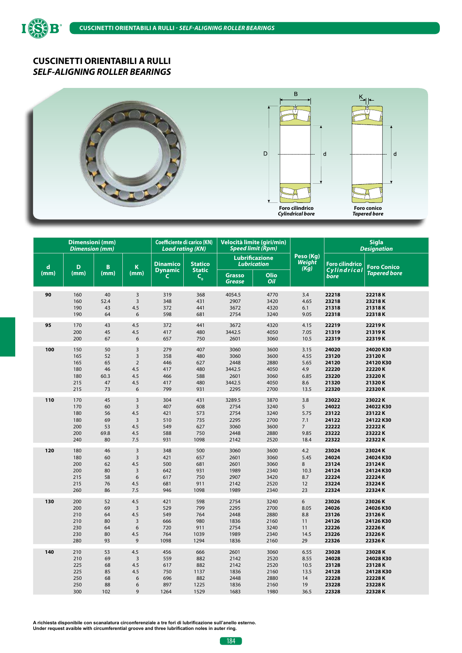

ISS



|             | <b>Dimensioni</b> (mm)<br><b>Dimension (mm)</b> |      |                         | <b>Coefficiente di carico (KN)</b><br><b>Load rating (KN)</b> |                          | Velocità limite (giri/min)<br><b>Speed limit (Rpm)</b> |                    |                             |                        | <b>Sigla</b><br><b>Designation</b> |
|-------------|-------------------------------------------------|------|-------------------------|---------------------------------------------------------------|--------------------------|--------------------------------------------------------|--------------------|-----------------------------|------------------------|------------------------------------|
| $\mathbf d$ | D                                               | B    | K                       | <b>Dinamico</b>                                               | <b>Statico</b>           | <b>Lubrificazione</b><br><b>Lubrication</b>            |                    | Peso (Kg)<br>Weight<br>(Kg) | <b>Foro cilindrico</b> | <b>Foro Conico</b>                 |
| (mm)        | (mm)                                            | (mm) | (mm)                    | <b>Dynamic</b><br>C                                           | <b>Static</b><br>$C_{o}$ | <b>Grasso</b><br><b>Grease</b>                         | <b>Olio</b><br>Oil |                             | Cylindrical<br>bore    | <b>Tapered bore</b>                |
| 90          | 160                                             | 40   | $\overline{3}$          | 319                                                           | 368                      | 4054.5                                                 | 4770               | 3.4                         | 22218                  | 22218K                             |
|             | 160                                             | 52.4 | $\overline{3}$          | 348                                                           | 431                      | 2907                                                   | 3420               | 4.65                        | 23218                  | 23218K                             |
|             | 190                                             | 43   | 4.5                     | 372                                                           | 441                      | 3672                                                   | 4320               | 6.1                         | 21318                  | 21318K                             |
|             | 190                                             | 64   | 6                       | 598                                                           | 681                      | 2754                                                   | 3240               | 9.05                        | 22318                  | 22318K                             |
| 95          | 170                                             | 43   | 4.5                     | 372                                                           | 441                      | 3672                                                   | 4320               | 4.15                        | 22219                  | 22219K                             |
|             | 200                                             | 45   | 4.5                     | 417                                                           | 480                      | 3442.5                                                 | 4050               | 7.05                        | 21319                  | 21319K                             |
|             | 200                                             | 67   | 6                       | 657                                                           | 750                      | 2601                                                   | 3060               | 10.5                        | 22319                  | 22319K                             |
| 100         | 150                                             | 50   | 3                       | 279                                                           | 407                      | 3060                                                   | 3600               | 3.15                        | 24020                  | 24020 K30                          |
|             | 165                                             | 52   | $\overline{3}$          | 358                                                           | 480                      | 3060                                                   | 3600               | 4.55                        | 23120                  | 23120K                             |
|             | 165                                             | 65   | $\overline{2}$          | 446                                                           | 627                      | 2448                                                   | 2880               | 5.65                        | 24120                  | 24120K30                           |
|             | 180                                             | 46   | 4.5                     | 417                                                           | 480                      | 3442.5                                                 | 4050               | 4.9                         | 22220                  | 22220K                             |
|             | 180                                             | 60.3 | 4.5                     | 466                                                           | 588                      | 2601                                                   | 3060               | 6.85                        | 23220                  | 23220K                             |
|             | 215                                             | 47   | 4.5                     | 417                                                           | 480                      | 3442.5                                                 | 4050               | 8.6                         | 21320                  | 21320K                             |
|             | 215                                             | 73   | 6                       | 799                                                           | 931                      | 2295                                                   | 2700               | 13.5                        | 22320                  | 22320K                             |
| 110         | 170                                             | 45   | $\overline{3}$          | 304                                                           | 431                      | 3289.5                                                 | 3870               | 3.8                         | 23022                  | 23022K                             |
|             | 170                                             | 60   | $\overline{3}$          | 407                                                           | 608                      | 2754                                                   | 3240               | 5                           | 24022                  | 24022 K30                          |
|             | 180                                             | 56   | 4.5                     | 421                                                           | 573                      | 2754                                                   | 3240               | 5.75                        | 23122                  | 23122K                             |
|             | 180                                             | 69   | $\overline{3}$          | 510                                                           | 735                      | 2295                                                   | 2700               | 7.1                         | 24122                  | 24122K30                           |
|             | 200                                             | 53   | 4.5                     | 549                                                           | 627                      | 3060                                                   | 3600               | $7^{\circ}$                 | 22222                  | 22222K                             |
|             | 200                                             | 69.8 | 4.5                     | 588                                                           | 750                      | 2448                                                   | 2880               | 9.85                        | 23222                  | 23222K                             |
|             | 240                                             | 80   | 7.5                     | 931                                                           | 1098                     | 2142                                                   | 2520               | 18.4                        | 22322                  | 22322K                             |
| 120         | 180                                             | 46   | $\overline{3}$          | 348                                                           | 500                      | 3060                                                   | 3600               | 4.2                         | 23024                  | 23024K                             |
|             | 180                                             | 60   | $\overline{3}$          | 421                                                           | 657                      | 2601                                                   | 3060               | 5.45                        | 24024                  | 24024 K30                          |
|             | 200                                             | 62   | 4.5                     | 500                                                           | 681                      | 2601                                                   | 3060               | 8                           | 23124                  | 23124K                             |
|             | 200                                             | 80   | $\overline{3}$          | 642                                                           | 931                      | 1989                                                   | 2340               | 10.3                        | 24124                  | 24124 K30                          |
|             | 215                                             | 58   | 6                       | 617                                                           | 750                      | 2907                                                   | 3420               | 8.7                         | 22224                  | 22224K                             |
|             | 215                                             | 76   | 4.5                     | 681                                                           | 911                      | 2142                                                   | 2520               | 12                          | 23224                  | 23224K                             |
|             | 260                                             | 86   | 7.5                     | 946                                                           | 1098                     | 1989                                                   | 2340               | 23                          | 22324                  | 22324K                             |
| 130         | 200                                             | 52   | 4.5                     | 421                                                           | 598                      | 2754                                                   | 3240               | 6                           | 23026                  | 23026K                             |
|             | 200                                             | 69   | $\overline{3}$          | 529                                                           | 799                      | 2295                                                   | 2700               | 8.05                        | 24026                  | 24026K30                           |
|             | 210                                             | 64   | 4.5                     | 549                                                           | 764                      | 2448                                                   | 2880               | 8.8                         | 23126                  | 23126K                             |
|             | 210                                             | 80   | $\overline{3}$          | 666                                                           | 980                      | 1836                                                   | 2160               | 11                          | 24126                  | 24126K30                           |
|             | 230                                             | 64   | 6                       | 720                                                           | 911                      | 2754                                                   | 3240               | 11                          | 22226                  | 22226K                             |
|             | 230                                             | 80   | 4.5                     | 764                                                           | 1039                     | 1989                                                   | 2340               | 14.5                        | 23226                  | 23226K                             |
|             | 280                                             | 93   | 9                       | 1098                                                          | 1294                     | 1836                                                   | 2160               | 29                          | 22326                  | 22326K                             |
| 140         | 210                                             | 53   | 4.5                     | 456                                                           | 666                      | 2601                                                   | 3060               | 6.55                        | 23028                  | 23028K                             |
|             | 210                                             | 69   | $\overline{\mathbf{3}}$ | 559                                                           | 882                      | 2142                                                   | 2520               | 8.55                        | 24028                  | 24028K30                           |
|             | 225                                             | 68   | 4.5                     | 617                                                           | 882                      | 2142                                                   | 2520               | 10.5                        | 23128                  | 23128K                             |
|             | 225                                             | 85   | 4.5                     | 750                                                           | 1137                     | 1836                                                   | 2160               | 13.5                        | 24128                  | 24128K30                           |
|             | 250                                             | 68   | 6                       | 696                                                           | 882                      | 2448                                                   | 2880               | 14                          | 22228                  | 22228K                             |
|             | 250                                             | 88   | 6                       | 897                                                           | 1225                     | 1836                                                   | 2160               | 19                          | 23228                  | 23228K                             |
|             | 300                                             | 102  | 9                       | 1264                                                          | 1529                     | 1683                                                   | 1980               | 36.5                        | 22328                  | 22328K                             |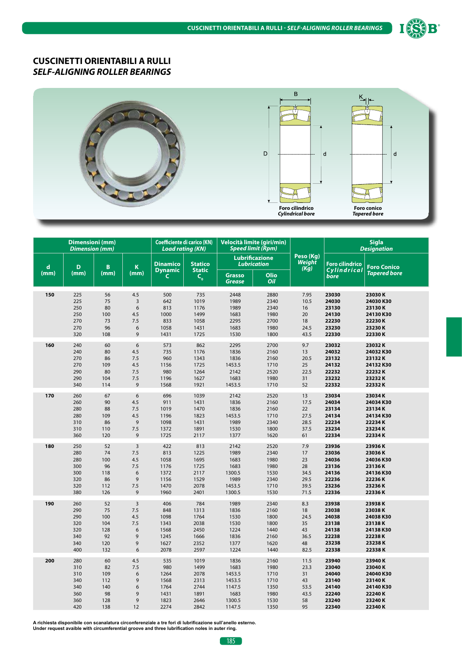



|             | <b>Dimensioni</b> (mm)<br><b>Dimension (mm)</b> |            |                | <b>Coefficiente di carico (KN)</b><br><b>Load rating (KN)</b> |                          |                         | Velocità limite (giri/min)<br><b>Speed limit (Rpm)</b> |                             | <b>Sigla</b><br><b>Designation</b> |                     |
|-------------|-------------------------------------------------|------------|----------------|---------------------------------------------------------------|--------------------------|-------------------------|--------------------------------------------------------|-----------------------------|------------------------------------|---------------------|
| $\mathbf d$ | D                                               | B          | K              | <b>Dinamico</b>                                               | <b>Statico</b>           |                         | <b>Lubrificazione</b><br><b>Lubrication</b>            | Peso (Kg)<br>Weight<br>(Kg) | <b>Foro cilindrico</b>             | <b>Foro Conico</b>  |
| (mm)        | (mm)                                            | (mm)       | (mm)           | <b>Dynamic</b><br>C.                                          | <b>Static</b><br>$C_{o}$ | <b>Grasso</b><br>Grease | Olio<br>Oil                                            |                             | Cylindrical<br>bore                | <b>Tapered bore</b> |
| 150         | 225                                             | 56         | 4.5            | 500                                                           | 735                      | 2448                    | 2880                                                   | 7.95                        | 23030                              | 23030K              |
|             | 225                                             | 75         | 3              | 642                                                           | 1019                     | 1989                    | 2340                                                   | 10.5                        | 24030                              | 24030 K30           |
|             | 250                                             | 80         | 6              | 813                                                           | 1176                     | 1989                    | 2340                                                   | 16                          | 23130                              | 23130K              |
|             | 250                                             | 100        | 4.5            | 1000                                                          | 1499                     | 1683                    | 1980                                                   | 20                          | 24130                              | 24130K30            |
|             | 270                                             | 73         | 7.5            | 833                                                           | 1058                     | 2295                    | 2700                                                   | 18                          | 22230                              | 22230K              |
|             | 270                                             | 96         | 6              | 1058                                                          | 1431                     | 1683                    | 1980                                                   | 24.5                        | 23230                              | 23230K              |
|             | 320                                             | 108        | 9              | 1431                                                          | 1725                     | 1530                    | 1800                                                   | 43.5                        | 22330                              | 22330K              |
| 160         | 240                                             | 60         | 6              | 573                                                           | 862                      | 2295                    | 2700                                                   | 9.7                         | 23032                              | 23032K              |
|             | 240                                             | 80         | 4.5            | 735                                                           | 1176                     | 1836                    | 2160                                                   | 13                          | 24032                              | 24032K30            |
|             | 270                                             | 86         | 7.5            | 960                                                           | 1343                     | 1836                    | 2160                                                   | 20.5                        | 23132                              | 23132K              |
|             | 270                                             | 109        | 4.5            | 1156                                                          | 1725                     | 1453.5                  | 1710                                                   | 25                          | 24132                              | 24132K30            |
|             | 290                                             | 80         | 7.5            | 980                                                           | 1264                     | 2142                    | 2520                                                   | 22.5                        | 22232                              | 22232K              |
|             | 290                                             | 104        | 7.5            | 1196                                                          | 1627                     | 1683                    | 1980                                                   | 31                          | 23232                              | 23232K              |
|             | 340                                             | 114        | 9              | 1568                                                          | 1921                     | 1453.5                  | 1710                                                   | 52                          | 22332                              | 22332K              |
| 170         | 260                                             | 67         | 6              | 696                                                           | 1039                     | 2142                    | 2520                                                   | 13                          | 23034                              | 23034K              |
|             | 260                                             | 90         | 4.5            | 911                                                           | 1431                     | 1836                    | 2160                                                   | 17.5                        | 24034                              | 24034K30            |
|             | 280                                             | 88         | 7.5            | 1019                                                          | 1470                     | 1836                    | 2160                                                   | 22                          | 23134                              | 23134K              |
|             | 280                                             | 109        | 4.5            | 1196                                                          | 1823                     | 1453.5                  | 1710                                                   | 27.5                        | 24134                              | 24134K30            |
|             | 310                                             | 86         | $\overline{9}$ | 1098                                                          | 1431                     | 1989                    | 2340                                                   | 28.5                        | 22234                              | 22234K              |
|             | 310                                             | 110        | 7.5            | 1372                                                          | 1891                     | 1530                    | 1800                                                   | 37.5                        | 23234                              | 23234K              |
|             | 360                                             | 120        | 9              | 1725                                                          | 2117                     | 1377                    | 1620                                                   | 61                          | 22334                              | 22334K              |
| 180         | 250                                             | 52         | $\overline{3}$ | 422                                                           | 813                      | 2142                    | 2520                                                   | 7.9                         | 23936                              | 23936K              |
|             | 280                                             | 74         | 7.5            | 813                                                           | 1225                     | 1989                    | 2340                                                   | 17                          | 23036                              | 23036K              |
|             | 280                                             | 100        | 4.5            | 1058                                                          | 1695                     | 1683                    | 1980                                                   | 23                          | 24036                              | 24036 K30           |
|             | 300                                             | 96         | 7.5            | 1176                                                          | 1725                     | 1683                    | 1980                                                   | 28                          | 23136                              | 23136K              |
|             | 300                                             | 118        | 6              | 1372                                                          | 2117                     | 1300.5                  | 1530                                                   | 34.5                        | 24136                              | 24136 K30           |
|             | 320                                             | 86         | 9              | 1156                                                          | 1529                     | 1989                    | 2340                                                   | 29.5                        | 22236                              | 22236K              |
|             | 320<br>380                                      | 112<br>126 | 7.5<br>9       | 1470<br>1960                                                  | 2078                     | 1453.5                  | 1710<br>1530                                           | 39.5<br>71.5                | 23236<br>22336                     | 23236K<br>22336K    |
|             |                                                 |            |                |                                                               | 2401                     | 1300.5                  |                                                        |                             |                                    |                     |
| 190         | 260                                             | 52         | $\overline{3}$ | 406                                                           | 784                      | 1989                    | 2340                                                   | 8.3                         | 23938                              | 23938K              |
|             | 290                                             | 75         | 7.5            | 848                                                           | 1313                     | 1836                    | 2160                                                   | 18                          | 23038                              | 23038K              |
|             | 290                                             | 100        | 4.5            | 1098                                                          | 1764                     | 1530                    | 1800                                                   | 24.5                        | 24038                              | 24038K30            |
|             | 320                                             | 104        | 7.5            | 1343                                                          | 2038                     | 1530                    | 1800                                                   | 35                          | 23138                              | 23138K              |
|             | 320                                             | 128        | 6              | 1568                                                          | 2450                     | 1224                    | 1440                                                   | 43                          | 24138                              | 24138K30            |
|             | 340<br>340                                      | 92<br>120  | 9<br>9         | 1245                                                          | 1666                     | 1836<br>1377            | 2160                                                   | 36.5                        | 22238<br>23238                     | 22238K<br>23238K    |
|             | 400                                             | 132        | 6              | 1627<br>2078                                                  | 2352<br>2597             | 1224                    | 1620<br>1440                                           | 48<br>82.5                  | 22338                              | 22338K              |
|             |                                                 |            |                |                                                               |                          |                         |                                                        |                             |                                    |                     |
| 200         | 280                                             | 60         | 4.5            | 535                                                           | 1019                     | 1836                    | 2160                                                   | 11.5                        | 23940                              | 23940K              |
|             | 310                                             | 82         | 7.5            | 980                                                           | 1499                     | 1683                    | 1980                                                   | 23.3                        | 23040                              | 23040K              |
|             | 310                                             | 109        | 6              | 1264                                                          | 2078                     | 1453.5                  | 1710                                                   | 31                          | 24040                              | 24040 K30           |
|             | 340                                             | 112        | 9              | 1568                                                          | 2313                     | 1453.5                  | 1710                                                   | 43                          | 23140                              | 23140K              |
|             | 340<br>360                                      | 140<br>98  | 6<br>9         | 1764<br>1431                                                  | 2744<br>1891             | 1147.5<br>1683          | 1350<br>1980                                           | 53.5<br>43.5                | 24140<br>22240                     | 24140 K30<br>22240K |
|             | 360                                             | 128        | 9              | 1823                                                          | 2646                     | 1300.5                  | 1530                                                   | 58                          | 23240                              | 23240K              |
|             | 420                                             | 138        | 12             | 2274                                                          | 2842                     | 1147.5                  | 1350                                                   | 95                          | 22340                              | 22340K              |
|             |                                                 |            |                |                                                               |                          |                         |                                                        |                             |                                    |                     |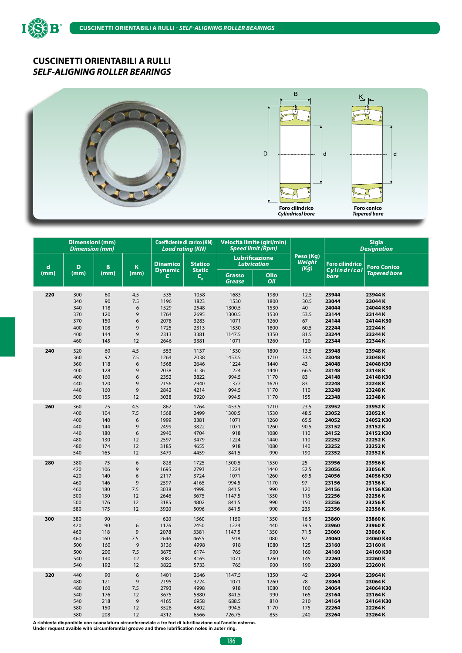ISS

B



|             | Dimensioni (mm)<br><b>Dimension (mm)</b> |      |                | <b>Coefficiente di carico (KN)</b><br><b>Load rating (KN)</b> |                                            | Velocità limite (giri/min)<br><b>Speed limit (Rpm)</b> |             |                                    | <b>Sigla</b><br><b>Designation</b> |                     |
|-------------|------------------------------------------|------|----------------|---------------------------------------------------------------|--------------------------------------------|--------------------------------------------------------|-------------|------------------------------------|------------------------------------|---------------------|
| $\mathbf d$ | D                                        | B    | K              | <b>Dinamico</b>                                               | <b>Statico</b>                             | <b>Lubrificazione</b><br><b>Lubrication</b>            |             | Peso (Kg)<br><b>Weight</b><br>(Kg) | <b>Foro cilindrico</b>             | <b>Foro Conico</b>  |
| (mm)        | (mm)                                     | (mm) | (mm)           | <b>Dynamic</b><br>C                                           | <b>Static</b><br>$\mathsf{C}_{\mathsf{o}}$ | <b>Grasso</b><br><b>Grease</b>                         | Olio<br>Oil |                                    | Cylindrical<br>bore                | <b>Tapered bore</b> |
| 220         | 300                                      | 60   | 4.5            | 535                                                           | 1058                                       | 1683                                                   | 1980        | 12.5                               | 23944                              | 23944K              |
|             | 340                                      | 90   | 7.5            | 1196                                                          | 1823                                       | 1530                                                   | 1800        | 30.5                               | 23044                              | 23044K              |
|             | 340                                      | 118  | 6              | 1529                                                          | 2548                                       | 1300.5                                                 | 1530        | 40                                 | 24044                              | 24044K30            |
|             | 370                                      | 120  | 9              | 1764                                                          | 2695                                       | 1300.5                                                 | 1530        | 53.5                               | 23144                              | 23144K              |
|             | 370                                      | 150  | 6              | 2078                                                          | 3283                                       | 1071                                                   | 1260        | 67                                 | 24144                              | 24144 K30           |
|             | 400                                      | 108  | 9              | 1725                                                          | 2313                                       | 1530                                                   | 1800        | 60.5                               | 22244                              | 22244K              |
|             | 400                                      | 144  | 9              | 2313                                                          | 3381                                       | 1147.5                                                 | 1350        | 81.5                               | 23244                              | 23244K              |
|             | 460                                      | 145  | 12             | 2646                                                          | 3381                                       | 1071                                                   | 1260        | 120                                | 22344                              | 22344K              |
| 240         | 320                                      | 60   | 4.5            | 553                                                           | 1137                                       | 1530                                                   | 1800        | 13.5                               | 23948                              | 23948K              |
|             | 360                                      | 92   | 7.5            | 1264                                                          | 2038                                       | 1453.5                                                 | 1710        | 33.5                               | 23048                              | 23048K              |
|             | 360                                      | 118  | 6              | 1568                                                          | 2646                                       | 1224                                                   | 1440        | 43                                 | 24048                              | 24048K30            |
|             | 400                                      | 128  | 9              | 2038                                                          | 3136                                       | 1224                                                   | 1440        | 66.5                               | 23148                              | 23148K              |
|             | 400                                      | 160  | 6              | 2352                                                          | 3822                                       | 994.5                                                  | 1170        | 83                                 | 24148                              | 24148K30            |
|             | 440                                      | 120  | 9              | 2156                                                          | 2940                                       | 1377                                                   | 1620        | 83                                 | 22248                              | 22248K              |
|             | 440                                      | 160  | 9              | 2842                                                          | 4214                                       | 994.5                                                  | 1170        | 110                                | 23248                              | 23248K              |
|             | 500                                      | 155  | 12             | 3038                                                          | 3920                                       | 994.5                                                  | 1170        | 155                                | 22348                              | 22348K              |
| 260         | 360                                      | 75   | 4.5            | 862                                                           | 1764                                       | 1453.5                                                 | 1710        | 23.5                               | 23952                              | 23952K              |
|             | 400                                      | 104  | 7.5            | 1568                                                          | 2499                                       | 1300.5                                                 | 1530        | 48.5                               | 23052                              | 23052K              |
|             | 400                                      | 140  | 6              | 1999                                                          | 3381                                       | 1071                                                   | 1260        | 65.5                               | 24052                              | 24052K30            |
|             | 440                                      | 144  | 9              | 2499                                                          | 3822                                       | 1071                                                   | 1260        | 90.5                               | 23152                              | 23152K              |
|             | 440                                      | 180  | 6              | 2940                                                          | 4704                                       | 918                                                    | 1080        | 110                                | 24152                              | 24152K30            |
|             | 480                                      | 130  | 12             | 2597                                                          | 3479                                       | 1224                                                   | 1440        | 110                                | 22252                              | 22252K              |
|             | 480                                      | 174  | 12             | 3185                                                          | 4655                                       | 918                                                    | 1080        | 140                                | 23252                              | 23252K              |
|             | 540                                      | 165  | 12             | 3479                                                          | 4459                                       | 841.5                                                  | 990         | 190                                | 22352                              | 22352K              |
| 280         | 380                                      | 75   | 6              | 828                                                           | 1725                                       | 1300.5                                                 | 1530        | 25                                 | 23956                              | 23956K              |
|             | 420                                      | 106  | 9              | 1695                                                          | 2793                                       | 1224                                                   | 1440        | 52.5                               | 23056                              | 23056K              |
|             | 420                                      | 140  | 6              | 2117                                                          | 3724                                       | 1071                                                   | 1260        | 69.5                               | 24056                              | 24056K30            |
|             | 460                                      | 146  | 9              | 2597                                                          | 4165                                       | 994.5                                                  | 1170        | 97                                 | 23156                              | 23156K              |
|             | 460                                      | 180  | 7.5            | 3038                                                          | 4998                                       | 841.5                                                  | 990         | 120                                | 24156                              | 24156K30            |
|             | 500                                      | 130  | 12             | 2646                                                          | 3675                                       | 1147.5                                                 | 1350        | 115                                | 22256                              | 22256K              |
|             | 500                                      | 176  | 12             | 3185                                                          | 4802                                       | 841.5                                                  | 990         | 150                                | 23256                              | 23256K              |
|             | 580                                      | 175  | 12             | 3920                                                          | 5096                                       | 841.5                                                  | 990         | 235                                | 22356                              | 22356K              |
| 300         | 380                                      | 90   | ÷.             | 620                                                           | 1560                                       | 1150                                                   | 1350        | 16.5                               | 23860                              | 23860K              |
|             | 420                                      | 90   | 6              | 1176                                                          | 2450                                       | 1224                                                   | 1440        | 39.5                               | 23960                              | 23960K              |
|             | 460                                      | 118  | $\overline{9}$ | 2078                                                          | 3381                                       | 1147.5                                                 | 1350        | 71.5                               | 23060                              | 23060K              |
|             | 460                                      | 160  | 7.5            | 2646                                                          | 4655                                       | 918                                                    | 1080        | 97                                 | 24060                              | 24060 K30           |
|             | 500                                      | 160  | 9              | 3136                                                          | 4998                                       | 918                                                    | 1080        | 125                                | 23160                              | 23160K              |
|             | 500                                      | 200  | 7.5            | 3675                                                          | 6174                                       | 765                                                    | 900         | 160                                | 24160                              | 24160K30            |
|             | 540                                      | 140  | 12             | 3087                                                          | 4165                                       | 1071                                                   | 1260        | 145                                | 22260                              | 22260K              |
|             | 540                                      | 192  | 12             | 3822                                                          | 5733                                       | 765                                                    | 900         | 190                                | 23260                              | 23260K              |
| 320         | 440                                      | 90   | 6              | 1401                                                          | 2646                                       | 1147.5                                                 | 1350        | 42                                 | 23964                              | 23964K              |
|             | 480                                      | 121  | 9              | 2195                                                          | 3724                                       | 1071                                                   | 1260        | 78                                 | 23064                              | 23064K              |
|             | 480                                      | 160  | 7.5            | 2793                                                          | 4998                                       | 918                                                    | 1080        | 100                                | 24064                              | 24064K30            |
|             | 540                                      | 176  | 12             | 3675                                                          | 5880                                       | 841.5                                                  | 990         | 165                                | 23164                              | 23164K              |
|             | 540                                      | 218  | 9              | 4165                                                          | 6958                                       | 688.5                                                  | 810         | 210                                | 24164                              | 24164K30            |
|             | 580                                      | 150  | 12             | 3528                                                          | 4802                                       | 994.5                                                  | 1170        | 175                                | 22264                              | 22264K              |
|             | 580                                      | 208  | 12             | 4312                                                          | 6566                                       | 726.75                                                 | 855         | 240                                | 23264                              | 23264K              |

**A richiesta disponibile con scanalatura circonferenziale a tre fori di lubrificazione sull'anello esterno. Under request avaible with circumferential groove and three lubrification noles in auter ring.**

 $\begin{bmatrix} 186 \end{bmatrix}$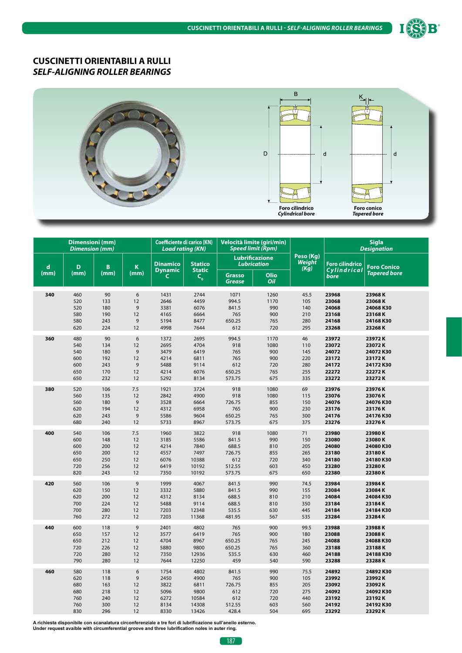



|             | <b>Dimensioni</b> (mm)<br><b>Dimension</b> (mm) |            |                | <b>Coefficiente di carico (KN)</b><br><b>Load rating (KN)</b> |                                               |                                | Velocità limite (giri/min)<br>Speed limit (Rpm) |                             |                        | <b>Sigla</b><br><b>Designation</b> |
|-------------|-------------------------------------------------|------------|----------------|---------------------------------------------------------------|-----------------------------------------------|--------------------------------|-------------------------------------------------|-----------------------------|------------------------|------------------------------------|
| $\mathbf d$ | D                                               | B          | K              | <b>Dinamico</b>                                               | <b>Statico</b>                                |                                | <b>Lubrificazione</b><br><b>Lubrication</b>     | Peso (Kg)<br>Weight<br>(Kg) | <b>Foro cilindrico</b> | <b>Foro Conico</b>                 |
| (mm)        | (mm)                                            | (mm)       | (mm)           | <b>Dynamic</b><br>C                                           | <b>Static</b><br>$\mathsf{C}_{_{\mathbf{0}}}$ | <b>Grasso</b><br><b>Grease</b> | Olio<br>Oil                                     |                             | Cylindrical<br>bore    | <b>Tapered bore</b>                |
| 340         | 460                                             | 90         | 6              | 1431                                                          | 2744                                          | 1071                           | 1260                                            | 45.5                        | 23968                  | 23968K                             |
|             | 520                                             | 133        | 12             | 2646                                                          | 4459                                          | 994.5                          | 1170                                            | 105                         | 23068                  | 23068K                             |
|             | 520                                             | 180        | 9              | 3381                                                          | 6076                                          | 841.5                          | 990                                             | 140                         | 24068                  | 24068K30                           |
|             | 580                                             | 190        | 12             | 4165                                                          | 6664                                          | 765                            | 900                                             | 210                         | 23168                  | 23168K                             |
|             | 580                                             | 243        | 9              | 5194                                                          | 8477                                          | 650.25                         | 765                                             | 280                         | 24168                  | 24168K30                           |
|             | 620                                             | 224        | 12             | 4998                                                          | 7644                                          | 612                            | 720                                             | 295                         | 23268                  | 23268K                             |
| 360         | 480                                             | 90         | 6              | 1372                                                          | 2695                                          | 994.5                          | 1170                                            | 46                          | 23972                  | 23972K                             |
|             | 540                                             | 134        | 12             | 2695                                                          | 4704                                          | 918                            | 1080                                            | 110                         | 23072                  | 23072K                             |
|             | 540                                             | 180        | 9              | 3479                                                          | 6419                                          | 765                            | 900                                             | 145                         | 24072                  | 24072K30                           |
|             | 600                                             | 192        | 12             | 4214                                                          | 6811                                          | 765                            | 900                                             | 220                         | 23172                  | 23172K                             |
|             | 600                                             | 243        | 9              | 5488                                                          | 9114                                          | 612                            | 720                                             | 280                         | 24172                  | 24172K30                           |
|             | 650                                             | 170        | 12             | 4214                                                          | 6076                                          | 650.25                         | 765                                             | 255                         | 22272                  | 22272K                             |
|             | 650                                             | 232        | 12             | 5292                                                          | 8134                                          | 573.75                         | 675                                             | 335                         | 23272                  | 23272K                             |
| 380         | 520                                             | 106        | 7.5            | 1921                                                          | 3724                                          | 918                            | 1080                                            | 69                          | 23976                  | 23976K                             |
|             | 560                                             | 135        | 12             | 2842                                                          | 4900                                          | 918                            | 1080                                            | 115                         | 23076                  | 23076K                             |
|             | 560                                             | 180        | 9              | 3528                                                          | 6664                                          | 726.75                         | 855                                             | 150                         | 24076                  | 24076K30                           |
|             | 620                                             | 194        | 12             | 4312                                                          | 6958                                          | 765                            | 900                                             | 230                         | 23176                  | 23176K                             |
|             | 620                                             | 243        | 9              | 5586                                                          | 9604                                          | 650.25                         | 765                                             | 300                         | 24176                  | 24176K30                           |
|             | 680                                             | 240        | 12             | 5733                                                          | 8967                                          | 573.75                         | 675                                             | 375                         | 23276                  | 23276K                             |
| 400         | 540                                             | 106        | 7.5            | 1960                                                          | 3822                                          | 918                            | 1080                                            | 71                          | 23980                  | 23980K                             |
|             | 600                                             | 148        | 12             | 3185                                                          | 5586                                          | 841.5                          | 990                                             | 150                         | 23080                  | 23080K                             |
|             | 600                                             | 200        | 12             | 4214                                                          | 7840                                          | 688.5                          | 810                                             | 205                         | 24080                  | 24080 K30                          |
|             | 650                                             | 200        | 12             | 4557                                                          | 7497                                          | 726.75                         | 855                                             | 265                         | 23180                  | 23180K                             |
|             | 650                                             | 250        | 12             | 6076                                                          | 10388                                         | 612                            | 720                                             | 340                         | 24180                  | 24180 K30                          |
|             | 720<br>820                                      | 256<br>243 | 12<br>12       | 6419                                                          | 10192<br>10192                                | 512.55                         | 603                                             | 450<br>650                  | 23280<br>22380         | 23280K<br>22380K                   |
|             |                                                 |            |                | 7350                                                          |                                               | 573.75                         | 675                                             |                             |                        |                                    |
| 420         | 560                                             | 106        | 9              | 1999                                                          | 4067                                          | 841.5                          | 990                                             | 74.5                        | 23984                  | 23984K                             |
|             | 620                                             | 150        | 12             | 3332                                                          | 5880                                          | 841.5                          | 990                                             | 155                         | 23084                  | 23084K                             |
|             | 620                                             | 200        | 12             | 4312                                                          | 8134                                          | 688.5                          | 810                                             | 210                         | 24084                  | 24084K30                           |
|             | 700                                             | 224        | 12             | 5488                                                          | 9114                                          | 688.5                          | 810                                             | 350                         | 23184                  | 23184K                             |
|             | 700<br>760                                      | 280<br>272 | 12<br>12       | 7203<br>7203                                                  | 12348<br>11368                                | 535.5<br>481.95                | 630<br>567                                      | 445<br>535                  | 24184<br>23284         | 24184K30<br>23284K                 |
|             |                                                 |            |                |                                                               |                                               |                                |                                                 |                             |                        |                                    |
| 440         | 600                                             | 118        | $\overline{9}$ | 2401                                                          | 4802                                          | 765                            | 900                                             | 99.5                        | 23988                  | 23988K                             |
|             | 650                                             | 157        | 12             | 3577                                                          | 6419                                          | 765                            | 900                                             | 180                         | 23088                  | 23088K                             |
|             | 650                                             | 212        | 12             | 4704                                                          | 8967                                          | 650.25                         | 765                                             | 245                         | 24088                  | 24088K30                           |
|             | 720                                             | 226<br>280 | 12<br>12       | 5880                                                          | 9800                                          | 650.25                         | 765                                             | 360<br>460                  | 23188<br>24188         | 23188K                             |
|             | 720<br>790                                      | 280        | 12             | 7350<br>7644                                                  | 12936<br>12250                                | 535.5<br>459                   | 630<br>540                                      | 590                         | 23288                  | 24188K30<br>23288K                 |
|             |                                                 |            |                |                                                               |                                               |                                |                                                 |                             |                        |                                    |
| 460         | 580                                             | 118        | 6              | 1754                                                          | 4802                                          | 841.5                          | 990                                             | 75.5                        | 24892                  | 24892K30                           |
|             | 620                                             | 118        | 9              | 2450                                                          | 4900                                          | 765                            | 900                                             | 105                         | 23992                  | 23992K                             |
|             | 680                                             | 163        | 12             | 3822                                                          | 6811                                          | 726.75                         | 855                                             | 205                         | 23092                  | 23092K                             |
|             | 680                                             | 218        | 12             | 5096                                                          | 9800                                          | 612                            | 720                                             | 275                         | 24092                  | 24092K30                           |
|             | 760<br>760                                      | 240<br>300 | 12<br>12       | 6272<br>8134                                                  | 10584<br>14308                                | 612<br>512.55                  | 720<br>603                                      | 440<br>560                  | 23192<br>24192         | 23192K<br>24192K30                 |
|             | 830                                             | 296        | 12             | 8330                                                          | 13426                                         | 428.4                          | 504                                             | 695                         | 23292                  | 23292K                             |
|             |                                                 |            |                |                                                               |                                               |                                |                                                 |                             |                        |                                    |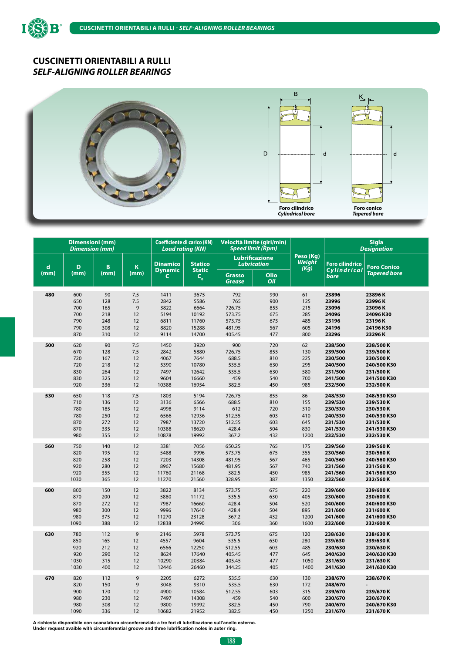ISS

B



|             | <b>Dimensioni</b> (mm)<br><b>Dimension</b> (mm) |                                        |                                | <b>Coefficiente di carico (KN)</b><br><b>Load rating (KN)</b> |                                                  | Velocità limite (giri/min)<br><b>Speed limit (Rpm)</b> |                                        |                                         |                                                                | <b>Sigla</b><br><b>Designation</b>                          |
|-------------|-------------------------------------------------|----------------------------------------|--------------------------------|---------------------------------------------------------------|--------------------------------------------------|--------------------------------------------------------|----------------------------------------|-----------------------------------------|----------------------------------------------------------------|-------------------------------------------------------------|
| $\mathbf d$ | D                                               | B                                      | K                              | <b>Dinamico</b>                                               | <b>Statico</b>                                   | <b>Lubrificazione</b><br><b>Lubrication</b>            |                                        | Peso (Kg)<br>Weight<br>(Kg)             | <b>Foro cilindrico</b>                                         | <b>Foro Conico</b>                                          |
| (mm)        | (mm)                                            | (mm)                                   | (mm)                           | <b>Dynamic</b><br>C                                           | <b>Static</b><br>$C_{o}$                         | <b>Grasso</b><br><b>Grease</b>                         | Olio<br>Oil                            |                                         | Cylindrical<br>bore                                            | <b>Tapered bore</b>                                         |
| 480         | 600                                             | 90                                     | 7.5                            | 1411                                                          | 3675                                             | 792                                                    | 990                                    | 61                                      | 23896                                                          | 23896K                                                      |
|             | 650                                             | 128                                    | 7.5                            | 2842                                                          | 5586                                             | 765                                                    | 900                                    | 125                                     | 23996                                                          | 23996K                                                      |
|             | 700                                             | 165                                    | 9                              | 3822                                                          | 6664                                             | 726.75                                                 | 855                                    | 215                                     | 23096                                                          | 23096K                                                      |
|             | 700                                             | 218                                    | 12                             | 5194                                                          | 10192                                            | 573.75                                                 | 675                                    | 285                                     | 24096                                                          | 24096K30                                                    |
|             | 790                                             | 248                                    | 12                             | 6811                                                          | 11760                                            | 573.75                                                 | 675                                    | 485                                     | 23196                                                          | 23196K                                                      |
|             | 790                                             | 308                                    | 12                             | 8820                                                          | 15288                                            | 481.95                                                 | 567                                    | 605                                     | 24196                                                          | 24196 K30                                                   |
|             | 870                                             | 310                                    | 12                             | 9114                                                          | 14700                                            | 405.45                                                 | 477                                    | 800                                     | 23296                                                          | 23296K                                                      |
| 500         | 620                                             | 90                                     | 7.5                            | 1450                                                          | 3920                                             | 900                                                    | 720                                    | 62                                      | 238/500                                                        | 238/500K                                                    |
|             | 670                                             | 128                                    | 7.5                            | 2842                                                          | 5880                                             | 726.75                                                 | 855                                    | 130                                     | 239/500                                                        | 239/500K                                                    |
|             | 720                                             | 167                                    | 12                             | 4067                                                          | 7644                                             | 688.5                                                  | 810                                    | 225                                     | 230/500                                                        | 230/500K                                                    |
|             | 720                                             | 218                                    | 12                             | 5390                                                          | 10780                                            | 535.5                                                  | 630                                    | 295                                     | 240/500                                                        | 240/500 K30                                                 |
|             | 830                                             | 264                                    | 12                             | 7497                                                          | 12642                                            | 535.5                                                  | 630                                    | 580                                     | 231/500                                                        | 231/500K                                                    |
|             | 830                                             | 325                                    | 12                             | 9604                                                          | 16660                                            | 459                                                    | 540                                    | 700                                     | 241/500                                                        | 241/500 K30                                                 |
|             | 920                                             | 336                                    | 12                             | 10388                                                         | 16954                                            | 382.5                                                  | 450                                    | 985                                     | 232/500                                                        | 232/500K                                                    |
| 530         | 650                                             | 118                                    | 7.5                            | 1803                                                          | 5194                                             | 726.75                                                 | 855                                    | 86                                      | 248/530                                                        | 248/530 K30                                                 |
|             | 710                                             | 136                                    | 12                             | 3136                                                          | 6566                                             | 688.5                                                  | 810                                    | 155                                     | 239/530                                                        | 239/530K                                                    |
|             | 780                                             | 185                                    | 12                             | 4998                                                          | 9114                                             | 612                                                    | 720                                    | 310                                     | 230/530                                                        | 230/530K                                                    |
|             | 780                                             | 250                                    | 12                             | 6566                                                          | 12936                                            | 512.55                                                 | 603                                    | 410                                     | 240/530                                                        | 240/530 K30                                                 |
|             | 870                                             | 272                                    | 12                             | 7987                                                          | 13720                                            | 512.55                                                 | 603                                    | 645                                     | 231/530                                                        | 231/530K                                                    |
|             | 870                                             | 335                                    | 12                             | 10388                                                         | 18620                                            | 428.4                                                  | 504                                    | 830                                     | 241/530                                                        | 241/530 K30                                                 |
|             | 980                                             | 355                                    | 12                             | 10878                                                         | 19992                                            | 367.2                                                  | 432                                    | 1200                                    | 232/530                                                        | 232/530K                                                    |
| 560         | 750                                             | 140                                    | 12                             | 3381                                                          | 7056                                             | 650.25                                                 | 765                                    | 175                                     | 239/560                                                        | 239/560K                                                    |
|             | 820                                             | 195                                    | 12                             | 5488                                                          | 9996                                             | 573.75                                                 | 675                                    | 355                                     | 230/560                                                        | 230/560K                                                    |
|             | 820                                             | 258                                    | 12                             | 7203                                                          | 14308                                            | 481.95                                                 | 567                                    | 465                                     | 240/560                                                        | 240/560 K30                                                 |
|             | 920                                             | 280                                    | 12                             | 8967                                                          | 15680                                            | 481.95                                                 | 567                                    | 740                                     | 231/560                                                        | 231/560K                                                    |
|             | 920                                             | 355                                    | 12                             | 11760                                                         | 21168                                            | 382.5                                                  | 450                                    | 985                                     | 241/560                                                        | 241/560 K30                                                 |
|             | 1030                                            | 365                                    | 12                             | 11270                                                         | 21560                                            | 328.95                                                 | 387                                    | 1350                                    | 232/560                                                        | 232/560K                                                    |
| 600         | 800                                             | 150                                    | 12                             | 3822                                                          | 8134                                             | 573.75                                                 | 675                                    | 220                                     | 239/600                                                        | 239/600K                                                    |
|             | 870                                             | 200                                    | 12                             | 5880                                                          | 11172                                            | 535.5                                                  | 630                                    | 405                                     | 230/600                                                        | 230/600 K                                                   |
|             | 870                                             | 272                                    | 12                             | 7987                                                          | 16660                                            | 428.4                                                  | 504                                    | 520                                     | 240/600                                                        | 240/600 K30                                                 |
|             | 980                                             | 300                                    | 12                             | 9996                                                          | 17640                                            | 428.4                                                  | 504                                    | 895                                     | 231/600                                                        | 231/600K                                                    |
|             | 980                                             | 375                                    | 12                             | 11270                                                         | 23128                                            | 367.2                                                  | 432                                    | 1200                                    | 241/600                                                        | 241/600 K30                                                 |
|             | 1090                                            | 388                                    | 12                             | 12838                                                         | 24990                                            | 306                                                    | 360                                    | 1600                                    | 232/600                                                        | 232/600K                                                    |
| 630         | 780                                             | 112                                    | 9                              | 2146                                                          | 5978                                             | 573.75                                                 | 675                                    | 120                                     | 238/630                                                        | 238/630K                                                    |
|             | 850                                             | 165                                    | 12                             | 4557                                                          | 9604                                             | 535.5                                                  | 630                                    | 280                                     | 239/630                                                        | 239/630K                                                    |
|             | 920                                             | 212                                    | 12                             | 6566                                                          | 12250                                            | 512.55                                                 | 603                                    | 485                                     | 230/630                                                        | 230/630K                                                    |
|             | 920                                             | 290                                    | 12                             | 8624                                                          | 17640                                            | 405.45                                                 | 477                                    | 645                                     | 240/630                                                        | 240/630 K30                                                 |
|             | 1030                                            | 315                                    | 12                             | 10290                                                         | 20384                                            | 405.45                                                 | 477                                    | 1050                                    | 231/630                                                        | 231/630K                                                    |
|             | 1030                                            | 400                                    | 12                             | 12446                                                         | 26460                                            | 344.25                                                 | 405                                    | 1400                                    | 241/630                                                        | 241/630 K30                                                 |
| 670         | 820<br>820<br>900<br>980<br>980<br>1090         | 112<br>150<br>170<br>230<br>308<br>336 | 9<br>9<br>12<br>12<br>12<br>12 | 2205<br>3048<br>4900<br>7497<br>9800<br>10682                 | 6272<br>9310<br>10584<br>14308<br>19992<br>21952 | 535.5<br>535.5<br>512.55<br>459<br>382.5<br>382.5      | 630<br>630<br>603<br>540<br>450<br>450 | 130<br>172<br>315<br>600<br>790<br>1250 | 238/670<br>248/670<br>239/670<br>230/670<br>240/670<br>231/670 | 238/670K<br>239/670K<br>230/670K<br>240/670 K30<br>231/670K |

**A richiesta disponibile con scanalatura circonferenziale a tre fori di lubrificazione sull'anello esterno. Under request avaible with circumferential groove and three lubrification noles in auter ring.**

 $\begin{bmatrix} 188 \end{bmatrix}$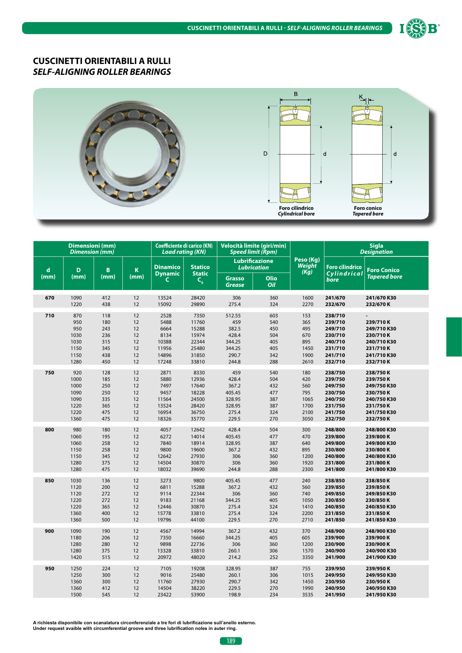



|      | Dimensioni (mm)<br><b>Dimension (mm)</b>                  |                                                      |                                              | <b>Coefficiente di carico (KN)</b><br><b>Load rating (KN)</b>    |                                                                     | Velocità limite (giri/min)<br><b>Speed limit (Rpm)</b>                |                                                      |                                                         | <b>Sigla</b><br><b>Designation</b>                                                   |                                                                                           |
|------|-----------------------------------------------------------|------------------------------------------------------|----------------------------------------------|------------------------------------------------------------------|---------------------------------------------------------------------|-----------------------------------------------------------------------|------------------------------------------------------|---------------------------------------------------------|--------------------------------------------------------------------------------------|-------------------------------------------------------------------------------------------|
| d    | D                                                         | B                                                    | K                                            | <b>Dinamico</b><br><b>Dynamic</b>                                | <b>Statico</b><br><b>Static</b>                                     | <b>Lubrication</b>                                                    | <b>Lubrificazione</b>                                | Peso (Kg)<br>Weight<br>(Kg)                             | <b>Foro cilindrico</b><br>Cylindrical                                                | <b>Foro Conico</b>                                                                        |
| (mm) | (mm)                                                      | (mm)                                                 | (mm)                                         | C                                                                | $C_{o}$                                                             | <b>Grasso</b><br>Grease                                               | Olio<br>Oil                                          |                                                         | bore                                                                                 | <b>Tapered bore</b>                                                                       |
| 670  | 1090                                                      | 412                                                  | 12                                           | 13524                                                            | 28420                                                               | 306                                                                   | 360                                                  | 1600                                                    | 241/670                                                                              | 241/670 K30                                                                               |
|      | 1220                                                      | 438                                                  | 12                                           | 15092                                                            | 29890                                                               | 275.4                                                                 | 324                                                  | 2270                                                    | 232/670                                                                              | 232/670K                                                                                  |
| 710  | 870<br>950<br>950<br>1030<br>1030<br>1150<br>1150<br>1280 | 118<br>180<br>243<br>236<br>315<br>345<br>438<br>450 | 12<br>12<br>12<br>12<br>12<br>12<br>12<br>12 | 2528<br>5488<br>6664<br>8134<br>10388<br>11956<br>14896<br>17248 | 7350<br>11760<br>15288<br>15974<br>22344<br>25480<br>31850<br>33810 | 512.55<br>459<br>382.5<br>428.4<br>344.25<br>344.25<br>290.7<br>244.8 | 603<br>540<br>450<br>504<br>405<br>405<br>342<br>288 | 153<br>365<br>495<br>670<br>895<br>1450<br>1900<br>2610 | 238/710<br>239/710<br>249/710<br>230/710<br>240/710<br>231/710<br>241/710<br>232/710 | 239/710K<br>249/710 K30<br>230/710K<br>240/710 K30<br>231/710K<br>241/710 K30<br>232/710K |
| 750  | 920                                                       | 128                                                  | 12                                           | 2871                                                             | 8330                                                                | 459                                                                   | 540                                                  | 180                                                     | 238/750                                                                              | 238/750K                                                                                  |
|      | 1000                                                      | 185                                                  | 12                                           | 5880                                                             | 12936                                                               | 428.4                                                                 | 504                                                  | 420                                                     | 239/750                                                                              | 239/750K                                                                                  |
|      | 1000                                                      | 250                                                  | 12                                           | 7497                                                             | 17640                                                               | 367.2                                                                 | 432                                                  | 560                                                     | 249/750                                                                              | 249/750 K30                                                                               |
|      | 1090                                                      | 250                                                  | 12                                           | 9457                                                             | 18228                                                               | 405.45                                                                | 477                                                  | 795                                                     | 230/750                                                                              | 230/750K                                                                                  |
|      | 1090                                                      | 335                                                  | 12                                           | 11564                                                            | 24500                                                               | 328.95                                                                | 387                                                  | 1065                                                    | 240/750                                                                              | 240/750 K30                                                                               |
|      | 1220                                                      | 365                                                  | 12                                           | 13524                                                            | 28420                                                               | 328.95                                                                | 387                                                  | 1700                                                    | 231/750                                                                              | 231/750K                                                                                  |
|      | 1220                                                      | 475                                                  | 12                                           | 16954                                                            | 36750                                                               | 275.4                                                                 | 324                                                  | 2100                                                    | 241/750                                                                              | 241/750 K30                                                                               |
|      | 1360                                                      | 475                                                  | 12                                           | 18326                                                            | 35770                                                               | 229.5                                                                 | 270                                                  | 3050                                                    | 232/750                                                                              | 232/750K                                                                                  |
| 800  | 980                                                       | 180                                                  | 12                                           | 4057                                                             | 12642                                                               | 428.4                                                                 | 504                                                  | 300                                                     | 248/800                                                                              | 248/800 K30                                                                               |
|      | 1060                                                      | 195                                                  | 12                                           | 6272                                                             | 14014                                                               | 405.45                                                                | 477                                                  | 470                                                     | 239/800                                                                              | 239/800K                                                                                  |
|      | 1060                                                      | 258                                                  | 12                                           | 7840                                                             | 18914                                                               | 328.95                                                                | 387                                                  | 640                                                     | 249/800                                                                              | 249/800 K30                                                                               |
|      | 1150                                                      | 258                                                  | 12                                           | 9800                                                             | 19600                                                               | 367.2                                                                 | 432                                                  | 895                                                     | 230/800                                                                              | 230/800K                                                                                  |
|      | 1150                                                      | 345                                                  | 12                                           | 12642                                                            | 27930                                                               | 306                                                                   | 360                                                  | 1200                                                    | 240/800                                                                              | 240/800 K30                                                                               |
|      | 1280                                                      | 375                                                  | 12                                           | 14504                                                            | 30870                                                               | 306                                                                   | 360                                                  | 1920                                                    | 231/800                                                                              | 231/800K                                                                                  |
|      | 1280                                                      | 475                                                  | 12                                           | 18032                                                            | 39690                                                               | 244.8                                                                 | 288                                                  | 2300                                                    | 241/800                                                                              | 241/800 K30                                                                               |
| 850  | 1030                                                      | 136                                                  | 12                                           | 3273                                                             | 9800                                                                | 405.45                                                                | 477                                                  | 240                                                     | 238/850                                                                              | 238/850K                                                                                  |
|      | 1120                                                      | 200                                                  | 12                                           | 6811                                                             | 15288                                                               | 367.2                                                                 | 432                                                  | 560                                                     | 239/850                                                                              | 239/850K                                                                                  |
|      | 1120                                                      | 272                                                  | 12                                           | 9114                                                             | 22344                                                               | 306                                                                   | 360                                                  | 740                                                     | 249/850                                                                              | 249/850 K30                                                                               |
|      | 1220                                                      | 272                                                  | 12                                           | 9183                                                             | 21168                                                               | 344.25                                                                | 405                                                  | 1050                                                    | 230/850                                                                              | 230/850K                                                                                  |
|      | 1220                                                      | 365                                                  | 12                                           | 12446                                                            | 30870                                                               | 275.4                                                                 | 324                                                  | 1410                                                    | 240/850                                                                              | 240/850 K30                                                                               |
|      | 1360                                                      | 400                                                  | 12                                           | 15778                                                            | 33810                                                               | 275.4                                                                 | 324                                                  | 2200                                                    | 231/850                                                                              | 231/850K                                                                                  |
|      | 1360                                                      | 500                                                  | 12                                           | 19796                                                            | 44100                                                               | 229.5                                                                 | 270                                                  | 2710                                                    | 241/850                                                                              | 241/850 K30                                                                               |
| 900  | 1090                                                      | 190                                                  | 12                                           | 4567                                                             | 14994                                                               | 367.2                                                                 | 432                                                  | 370                                                     | 248/900                                                                              | 248/900 K30                                                                               |
|      | 1180                                                      | 206                                                  | 12                                           | 7350                                                             | 16660                                                               | 344.25                                                                | 405                                                  | 605                                                     | 239/900                                                                              | 239/900K                                                                                  |
|      | 1280                                                      | 280                                                  | 12                                           | 9898                                                             | 22736                                                               | 306                                                                   | 360                                                  | 1200                                                    | 230/900                                                                              | 230/900K                                                                                  |
|      | 1280                                                      | 375                                                  | 12                                           | 13328                                                            | 33810                                                               | 260.1                                                                 | 306                                                  | 1570                                                    | 240/900                                                                              | 240/900 K30                                                                               |
|      | 1420                                                      | 515                                                  | 12                                           | 20972                                                            | 48020                                                               | 214.2                                                                 | 252                                                  | 3350                                                    | 241/900                                                                              | 241/900 K30                                                                               |
| 950  | 1250                                                      | 224                                                  | 12                                           | 7105                                                             | 19208                                                               | 328.95                                                                | 387                                                  | 755                                                     | 239/950                                                                              | 239/950K                                                                                  |
|      | 1250                                                      | 300                                                  | 12                                           | 9016                                                             | 25480                                                               | 260.1                                                                 | 306                                                  | 1015                                                    | 249/950                                                                              | 249/950 K30                                                                               |
|      | 1360                                                      | 300                                                  | 12                                           | 11760                                                            | 27930                                                               | 290.7                                                                 | 342                                                  | 1450                                                    | 230/950                                                                              | 230/950K                                                                                  |
|      | 1360                                                      | 412                                                  | 12                                           | 14504                                                            | 38220                                                               | 229.5                                                                 | 270                                                  | 1990                                                    | 240/950                                                                              | 240/950 K30                                                                               |
|      | 1500                                                      | 545                                                  | 12                                           | 23422                                                            | 53900                                                               | 198.9                                                                 | 234                                                  | 3535                                                    | 241/950                                                                              | 241/950 K30                                                                               |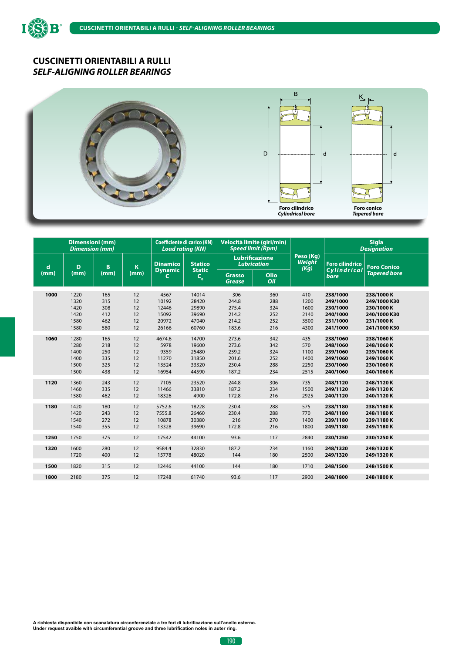ISS

B



|             | <b>Dimensioni</b> (mm)<br><b>Dimension (mm)</b> |                                        |                                  | Coefficiente di carico (KN)<br><b>Load rating (KN)</b> |                                                    |                                                    | Velocità limite (giri/min)<br><b>Speed limit (Rpm)</b> |                                             |                                                                      | <b>Sigla</b><br><b>Designation</b>                                                    |
|-------------|-------------------------------------------------|----------------------------------------|----------------------------------|--------------------------------------------------------|----------------------------------------------------|----------------------------------------------------|--------------------------------------------------------|---------------------------------------------|----------------------------------------------------------------------|---------------------------------------------------------------------------------------|
| $\mathbf d$ | D                                               | B                                      | K                                | <b>Dinamico</b><br><b>Dynamic</b>                      | <b>Statico</b><br><b>Static</b>                    |                                                    | <b>Lubrificazione</b><br><b>Lubrication</b>            | Peso (Kg)<br>Weight<br>(Kg)                 | <b>Foro cilindrico</b><br>Cylindrical                                | <b>Foro Conico</b>                                                                    |
| (mm)        | (mm)                                            | (mm)                                   | (mm)                             | C                                                      | $C_{o}$                                            | <b>Grasso</b><br><b>Grease</b>                     | Olio<br>Oil                                            |                                             | bore                                                                 | <b>Tapered bore</b>                                                                   |
| 1000        | 1220<br>1320<br>1420<br>1420<br>1580<br>1580    | 165<br>315<br>308<br>412<br>462<br>580 | 12<br>12<br>12<br>12<br>12<br>12 | 4567<br>10192<br>12446<br>15092<br>20972<br>26166      | 14014<br>28420<br>29890<br>39690<br>47040<br>60760 | 306<br>244.8<br>275.4<br>214.2<br>214.2<br>183.6   | 360<br>288<br>324<br>252<br>252<br>216                 | 410<br>1200<br>1600<br>2140<br>3500<br>4300 | 238/1000<br>249/1000<br>230/1000<br>240/1000<br>231/1000<br>241/1000 | 238/1000K<br>249/1000 K30<br>230/1000 K<br>240/1000 K30<br>231/1000 K<br>241/1000 K30 |
| 1060        | 1280<br>1280<br>1400<br>1400<br>1500<br>1500    | 165<br>218<br>250<br>335<br>325<br>438 | 12<br>12<br>12<br>12<br>12<br>12 | 4674.6<br>5978<br>9359<br>11270<br>13524<br>16954      | 14700<br>19600<br>25480<br>31850<br>33320<br>44590 | 273.6<br>273.6<br>259.2<br>201.6<br>230.4<br>187.2 | 342<br>342<br>324<br>252<br>288<br>234                 | 435<br>570<br>1100<br>1400<br>2250<br>2515  | 238/1060<br>248/1060<br>239/1060<br>249/1060<br>230/1060<br>240/1060 | 238/1060K<br>248/1060K<br>239/1060K<br>249/1060K<br>230/1060K<br>240/1060K            |
| 1120        | 1360<br>1460<br>1580                            | 243<br>335<br>462                      | 12<br>12<br>12                   | 7105<br>11466<br>18326                                 | 23520<br>33810<br>4900                             | 244.8<br>187.2<br>172.8                            | 306<br>234<br>216                                      | 735<br>1500<br>2925                         | 248/1120<br>249/1120<br>240/1120                                     | 248/1120K<br>249/1120K<br>240/1120K                                                   |
| 1180        | 1420<br>1420<br>1540<br>1540                    | 180<br>243<br>272<br>355               | 12<br>12<br>12<br>12             | 5752.6<br>7555.8<br>10878<br>13328                     | 18228<br>26460<br>30380<br>39690                   | 230.4<br>230.4<br>216<br>172.8                     | 288<br>288<br>270<br>216                               | 575<br>770<br>1400<br>1800                  | 238/1180<br>248/1180<br>239/1180<br>249/1180                         | 238/1180K<br>248/1180K<br>239/1180K<br>249/1180K                                      |
| 1250        | 1750                                            | 375                                    | 12                               | 17542                                                  | 44100                                              | 93.6                                               | 117                                                    | 2840                                        | 230/1250                                                             | 230/1250K                                                                             |
| 1320        | 1600<br>1720                                    | 280<br>400                             | 12<br>12                         | 9584.4<br>15778                                        | 32830<br>48020                                     | 187.2<br>144                                       | 234<br>180                                             | 1160<br>2500                                | 248/1320<br>249/1320                                                 | 248/1320K<br>249/1320K                                                                |
| 1500        | 1820                                            | 315                                    | 12                               | 12446                                                  | 44100                                              | 144                                                | 180                                                    | 1710                                        | 248/1500                                                             | 248/1500K                                                                             |
| 1800        | 2180                                            | 375                                    | 12                               | 17248                                                  | 61740                                              | 93.6                                               | 117                                                    | 2900                                        | 248/1800                                                             | 248/1800K                                                                             |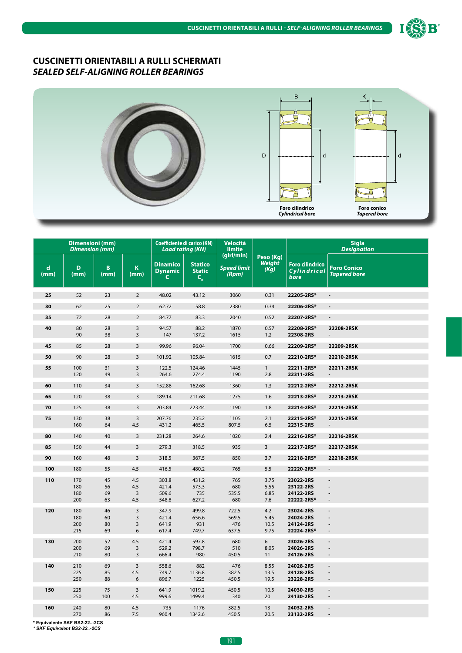

#### **CUSCINETTI ORIENTABILI A RULLI SCHERMATI** *SEALED SELF-ALIGNING ROLLER BEARINGS*



|                     | <b>Dimensioni</b> (mm)<br><b>Dimension</b> (mm) |                        |                                         | <b>Coefficiente di carico (KN)</b><br><b>Load rating (KN)</b> |                                                                                  | <b>Velocità</b><br>limite                 |                                    |                                                   | <b>Sigla</b><br><b>Designation</b>                                             |
|---------------------|-------------------------------------------------|------------------------|-----------------------------------------|---------------------------------------------------------------|----------------------------------------------------------------------------------|-------------------------------------------|------------------------------------|---------------------------------------------------|--------------------------------------------------------------------------------|
| $\mathbf d$<br>(mm) | D<br>(mm)                                       | $\overline{B}$<br>(mm) | K<br>(mm)                               | <b>Dinamico</b><br><b>Dynamic</b><br>$\mathsf{C}$             | <b>Statico</b><br><b>Static</b><br>$\mathsf{C}^{\phantom{\dagger}}_{\mathsf{o}}$ | (giri/min)<br><b>Speed limit</b><br>(Rpm) | Peso (Kg)<br><b>Weight</b><br>(Kg) | <b>Foro cilindrico</b><br>Cylindrical<br>bore     | <b>Foro Conico</b><br><b>Tapered bore</b>                                      |
| 25                  | 52                                              | 23                     | $\overline{2}$                          | 48.02                                                         | 43.12                                                                            | 3060                                      | 0.31                               | 22205-2RS*                                        |                                                                                |
| 30                  | 62                                              | 25                     | $\overline{2}$                          | 62.72                                                         | 58.8                                                                             | 2380                                      | 0.34                               | 22206-2RS*                                        |                                                                                |
| 35                  | 72                                              | 28                     | $\overline{2}$                          | 84.77                                                         | 83.3                                                                             | 2040                                      | 0.52                               | 22207-2RS*                                        | $\frac{1}{2}$                                                                  |
| 40                  | 80<br>90                                        | 28<br>38               | 3<br>$\overline{\mathbf{3}}$            | 94.57<br>147                                                  | 88.2<br>137.2                                                                    | 1870<br>1615                              | 0.57<br>1.2                        | 22208-2RS*<br>22308-2RS                           | 22208-2RSK                                                                     |
| 45                  | 85                                              | 28                     | 3                                       | 99.96                                                         | 96.04                                                                            | 1700                                      | 0.66                               | 22209-2RS*                                        | 22209-2RSK                                                                     |
| 50                  | 90                                              | 28                     | 3                                       | 101.92                                                        | 105.84                                                                           | 1615                                      | 0.7                                | 22210-2RS*                                        | 22210-2RSK                                                                     |
| 55                  | 100<br>120                                      | 31<br>49               | $\mathsf{3}$<br>3                       | 122.5<br>264.6                                                | 124.46<br>274.4                                                                  | 1445<br>1190                              | $\mathbf{1}$<br>2.8                | 22211-2RS*<br>22311-2RS                           | 22211-2RSK                                                                     |
| 60                  | 110                                             | 34                     | 3                                       | 152.88                                                        | 162.68                                                                           | 1360                                      | 1.3                                | 22212-2RS*                                        | 22212-2RSK                                                                     |
| 65                  | 120                                             | 38                     | 3                                       | 189.14                                                        | 211.68                                                                           | 1275                                      | 1.6                                | 22213-2RS*                                        | 22213-2RSK                                                                     |
| 70                  | 125                                             | 38                     | 3                                       | 203.84                                                        | 223.44                                                                           | 1190                                      | 1.8                                | 22214-2RS*                                        | 22214-2RSK                                                                     |
| 75                  | 130<br>160                                      | 38<br>64               | $\overline{3}$<br>4.5                   | 207.76<br>431.2                                               | 235.2<br>465.5                                                                   | 1105<br>807.5                             | 2.1<br>6.5                         | 22215-2RS*<br>22315-2RS                           | 22215-2RSK                                                                     |
| 80                  | 140                                             | 40                     | $\overline{\mathbf{3}}$                 | 231.28                                                        | 264.6                                                                            | 1020                                      | 2.4                                | 22216-2RS*                                        | 22216-2RSK                                                                     |
| 85                  | 150                                             | 44                     | 3                                       | 279.3                                                         | 318.5                                                                            | 935                                       | $\overline{3}$                     | 22217-2RS*                                        | 22217-2RSK                                                                     |
| 90                  | 160                                             | 48                     | 3                                       | 318.5                                                         | 367.5                                                                            | 850                                       | 3.7                                | 22218-2RS*                                        | 22218-2RSK                                                                     |
| 100                 | 180                                             | 55                     | 4.5                                     | 416.5                                                         | 480.2                                                                            | 765                                       | 5.5                                | 22220-2RS*                                        | $\blacksquare$                                                                 |
| 110                 | 170<br>180<br>180<br>200                        | 45<br>56<br>69<br>63   | 4.5<br>4.5<br>$\overline{3}$<br>4.5     | 303.8<br>421.4<br>509.6<br>548.8                              | 431.2<br>573.3<br>735<br>627.2                                                   | 765<br>680<br>535.5<br>680                | 3.75<br>5.55<br>6.85<br>7.6        | 23022-2RS<br>23122-2RS<br>24122-2RS<br>22222-2RS* | $\blacksquare$<br>$\overline{\phantom{a}}$<br>$\overline{a}$<br>$\overline{a}$ |
| 120                 | 180<br>180<br>200<br>215                        | 46<br>60<br>80<br>69   | $\overline{3}$<br>3<br>3<br>6           | 347.9<br>421.4<br>641.9<br>617.4                              | 499.8<br>656.6<br>931<br>749.7                                                   | 722.5<br>569.5<br>476<br>637.5            | 4.2<br>5.45<br>10.5<br>9.75        | 23024-2RS<br>24024-2RS<br>24124-2RS<br>22224-2RS* | $\overline{a}$<br>$\overline{\phantom{a}}$<br>$\blacksquare$                   |
| 130                 | 200<br>200<br>210                               | 52<br>69<br>80         | 4.5<br>$\overline{3}$<br>$\overline{3}$ | 421.4<br>529.2<br>666.4                                       | 597.8<br>798.7<br>980                                                            | 680<br>510<br>450.5                       | 6<br>8.05<br>11                    | 23026-2RS<br>24026-2RS<br>24126-2RS               | $\overline{\phantom{a}}$<br>$\overline{\phantom{a}}$<br>$\blacksquare$         |
| 140                 | 210<br>225<br>250                               | 69<br>85<br>88         | $\overline{3}$<br>4.5<br>6              | 558.6<br>749.7<br>896.7                                       | 882<br>1136.8<br>1225                                                            | 476<br>382.5<br>450.5                     | 8.55<br>13.5<br>19.5               | 24028-2RS<br>24128-2RS<br>23228-2RS               | $\blacksquare$<br>÷,                                                           |
| 150                 | 225<br>250                                      | 75<br>100              | $\overline{\mathbf{3}}$<br>4.5          | 641.9<br>999.6                                                | 1019.2<br>1499.4                                                                 | 450.5<br>340                              | 10.5<br>20                         | 24030-2RS<br>24130-2RS                            | $\blacksquare$<br>÷,                                                           |
| 160                 | 240<br>270                                      | 80<br>86               | 4.5<br>7.5                              | 735<br>960.4                                                  | 1176<br>1342.6                                                                   | 382.5<br>450.5                            | 13<br>20.5                         | 24032-2RS<br>23132-2RS                            | $\blacksquare$<br>$\overline{\phantom{a}}$                                     |

**\* Equivalente SKF BS2-22..-2CS** *\* SKF Equivalent BS2-22..-2CS*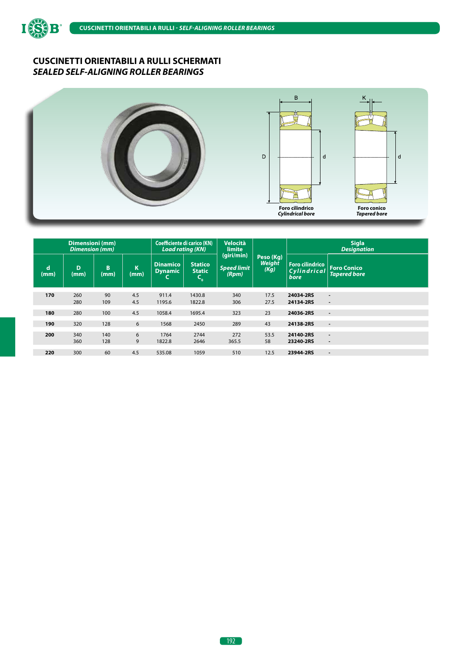

# **CUSCINETTI ORIENTABILI A RULLI SCHERMATI** *SEALED SELF-ALIGNING ROLLER BEARINGS*



|                     | Dimensioni (mm)<br><b>Dimension</b> (mm) |            |            | <b>Load rating (KN)</b>           | <b>Coefficiente di carico (KN)</b>              | <b>Velocità</b><br>limite          |                                    |                                               | <b>Sigla</b><br><b>Designation</b>                   |
|---------------------|------------------------------------------|------------|------------|-----------------------------------|-------------------------------------------------|------------------------------------|------------------------------------|-----------------------------------------------|------------------------------------------------------|
| $\mathbf d$<br>(mm) | D<br>(mm)                                | B<br>(mm)  | K<br>(mm)  | <b>Dinamico</b><br><b>Dynamic</b> | <b>Statico</b><br><b>Static</b><br>$\mathbf{G}$ | (qiri/min)<br>Speed limit<br>(Rpm) | Peso (Kg)<br><b>Weight</b><br>(Kg) | <b>Foro cilindrico</b><br>Cylindrical<br>bore | <b>Foro Conico</b><br><b>Tapered bore</b>            |
| 170                 | 260<br>280                               | 90<br>109  | 4.5<br>4.5 | 911.4<br>1195.6                   | 1430.8<br>1822.8                                | 340<br>306                         | 17.5<br>27.5                       | 24034-2RS<br>24134-2RS                        | $\blacksquare$<br>$\overline{\phantom{a}}$           |
| 180                 | 280                                      | 100        | 4.5        | 1058.4                            | 1695.4                                          | 323                                | 23                                 | 24036-2RS                                     | $\overline{\phantom{a}}$                             |
| 190                 | 320                                      | 128        | 6          | 1568                              | 2450                                            | 289                                | 43                                 | 24138-2RS                                     | $\overline{\phantom{a}}$                             |
| 200                 | 340<br>360                               | 140<br>128 | 6<br>9     | 1764<br>1822.8                    | 2744<br>2646                                    | 272<br>365.5                       | 53.5<br>58                         | 24140-2RS<br>23240-2RS                        | $\overline{\phantom{a}}$<br>$\overline{\phantom{a}}$ |
| 220                 | 300                                      | 60         | 4.5        | 535.08                            | 1059                                            | 510                                | 12.5                               | 23944-2RS                                     | $\blacksquare$                                       |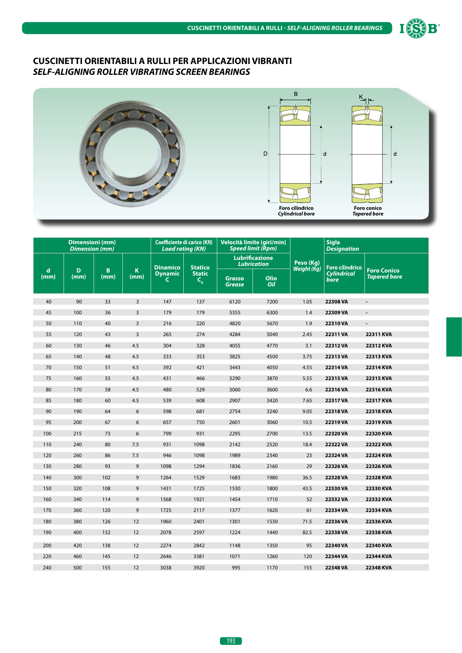

# **CUSCINETTI ORIENTABILI A RULLI PER APPLICAZIONI VIBRANTI** *SELF-ALIGNING ROLLER VIBRATING SCREEN BEARINGS*



|           | <b>Dimensioni</b> (mm)<br><b>Dimension (mm)</b> |           |                     | <b>Coefficiente di carico (KN)</b><br><b>Load rating (KN)</b> |                          | Velocità limite (giri/min)<br><b>Speed limit (Rpm)</b> |             |             | <b>Sigla</b><br><b>Designation</b> |                                           |
|-----------|-------------------------------------------------|-----------|---------------------|---------------------------------------------------------------|--------------------------|--------------------------------------------------------|-------------|-------------|------------------------------------|-------------------------------------------|
|           |                                                 |           |                     | <b>Dinamico</b>                                               | <b>Statico</b>           | <b>Lubrificazione</b><br><b>Lubrication</b>            |             | Peso (Kg)   | Foro cilindrico                    |                                           |
| d<br>(mm) | D<br>(mm)                                       | B<br>(mm) | $\mathbf K$<br>(mm) | <b>Dynamic</b><br>C                                           | <b>Static</b><br>$C_{0}$ | <b>Grasso</b><br><b>Grease</b>                         | Olio<br>Oil | Weight (Kg) | <b>Cylindrical</b><br>bore         | <b>Foro Conico</b><br><b>Tapered bore</b> |
| 40        | 90                                              | 33        | $\overline{3}$      | 147                                                           | 137                      | 6120                                                   | 7200        | 1.05        | 22308 VA                           | $\blacksquare$                            |
| 45        | 100                                             | 36        | $\overline{3}$      | 179                                                           | 179                      | 5355                                                   | 6300        | 1.4         | 22309 VA                           | $\blacksquare$                            |
| 50        | 110                                             | 40        | $\overline{3}$      | 216                                                           | 220                      | 4820                                                   | 5670        | 1.9         | 22310 VA                           | $\blacksquare$                            |
| 55        | 120                                             | 43        | $\overline{3}$      | 265                                                           | 274                      | 4284                                                   | 5040        | 2.45        | 22311 VA                           | 22311 KVA                                 |
| 60        | 130                                             | 46        | 4.5                 | 304                                                           | 328                      | 4055                                                   | 4770        | 3.1         | 22312 VA                           | 22312 KVA                                 |
| 65        | 140                                             | 48        | 4.5                 | 333                                                           | 353                      | 3825                                                   | 4500        | 3.75        | 22313 VA                           | 22313 KVA                                 |
| 70        | 150                                             | 51        | 4.5                 | 392                                                           | 421                      | 3443                                                   | 4050        | 4.55        | 22314 VA                           | 22314 KVA                                 |
| 75        | 160                                             | 55        | 4.5                 | 431                                                           | 466                      | 3290                                                   | 3870        | 5.55        | 22315 VA                           | 22315 KVA                                 |
| 80        | 170                                             | 58        | 4.5                 | 480                                                           | 529                      | 3060                                                   | 3600        | 6.6         | 22316 VA                           | 22316 KVA                                 |
| 85        | 180                                             | 60        | 4.5                 | 539                                                           | 608                      | 2907                                                   | 3420        | 7.65        | 22317 VA                           | <b>22317 KVA</b>                          |
| 90        | 190                                             | 64        | 6                   | 598                                                           | 681                      | 2754                                                   | 3240        | 9.05        | 22318 VA                           | <b>22318 KVA</b>                          |
| 95        | 200                                             | 67        | 6                   | 657                                                           | 750                      | 2601                                                   | 3060        | 10.5        | 22319 VA                           | 22319 KVA                                 |
| 100       | 215                                             | 73        | 6                   | 799                                                           | 931                      | 2295                                                   | 2700        | 13.5        | 22320 VA                           | 22320 KVA                                 |
| 110       | 240                                             | 80        | 7.5                 | 931                                                           | 1098                     | 2142                                                   | 2520        | 18.4        | 22322 VA                           | 22322 KVA                                 |
| 120       | 260                                             | 86        | 7.5                 | 946                                                           | 1098                     | 1989                                                   | 2340        | 23          | 22324 VA                           | 22324 KVA                                 |
| 130       | 280                                             | 93        | 9                   | 1098                                                          | 1294                     | 1836                                                   | 2160        | 29          | 22326 VA                           | 22326 KVA                                 |
| 140       | 300                                             | 102       | 9                   | 1264                                                          | 1529                     | 1683                                                   | 1980        | 36.5        | 22328 VA                           | 22328 KVA                                 |
| 150       | 320                                             | 108       | 9                   | 1431                                                          | 1725                     | 1530                                                   | 1800        | 43.5        | 22330 VA                           | 22330 KVA                                 |
| 160       | 340                                             | 114       | 9                   | 1568                                                          | 1921                     | 1454                                                   | 1710        | 52          | 22332 VA                           | 22332 KVA                                 |
| 170       | 360                                             | 120       | 9                   | 1725                                                          | 2117                     | 1377                                                   | 1620        | 61          | 22334 VA                           | 22334 KVA                                 |
| 180       | 380                                             | 126       | 12                  | 1960                                                          | 2401                     | 1301                                                   | 1530        | 71.5        | 22336 VA                           | 22336 KVA                                 |
| 190       | 400                                             | 132       | 12                  | 2078                                                          | 2597                     | 1224                                                   | 1440        | 82.5        | 22338 VA                           | 22338 KVA                                 |
| 200       | 420                                             | 138       | 12                  | 2274                                                          | 2842                     | 1148                                                   | 1350        | 95          | 22340 VA                           | 22340 KVA                                 |
| 220       | 460                                             | 145       | 12                  | 2646                                                          | 3381                     | 1071                                                   | 1260        | 120         | 22344 VA                           | <b>22344 KVA</b>                          |
| 240       | 500                                             | 155       | 12                  | 3038                                                          | 3920                     | 995                                                    | 1170        | 155         | 22348 VA                           | 22348 KVA                                 |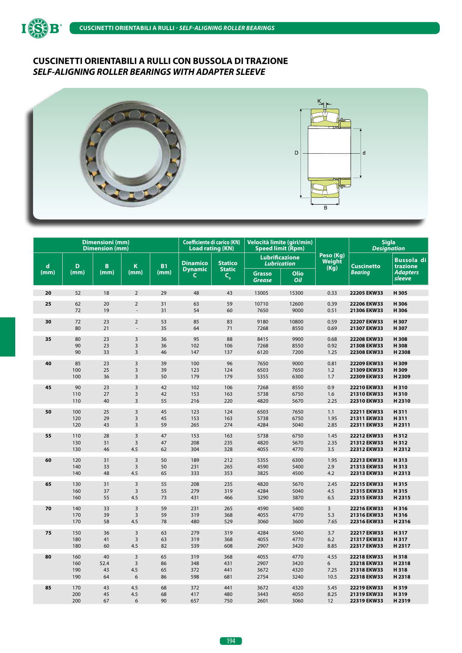



|             |      | <b>Dimensioni</b> (mm)<br><b>Dimension (mm)</b> |                         |           | <b>Coefficiente di carico (KN)</b><br><b>Load rating (KN)</b> |                          |                                | Velocità limite (giri/min)<br><b>Speed limit (Rpm)</b> |                             | <b>Sigla</b>      | <b>Designation</b>            |
|-------------|------|-------------------------------------------------|-------------------------|-----------|---------------------------------------------------------------|--------------------------|--------------------------------|--------------------------------------------------------|-----------------------------|-------------------|-------------------------------|
| $\mathbf d$ | D    | B                                               | K                       | <b>B1</b> | <b>Dinamico</b>                                               | <b>Statico</b>           |                                | <b>Lubrificazione</b><br><b>Lubrication</b>            | Peso (Kg)<br>Weight<br>(Kg) | <b>Cuscinetto</b> | <b>Bussola</b> di<br>trazione |
| (mm)        | (mm) | (mm)                                            | (mm)                    | (mm)      | <b>Dynamic</b><br>C                                           | <b>Static</b><br>$C_{o}$ | <b>Grasso</b><br><b>Grease</b> | Olio<br>Oil                                            |                             | Bearing           | <b>Adapters</b><br>sleeve     |
| 20          | 52   | 18                                              | $\overline{2}$          | 29        | 48                                                            | 43                       | 13005                          | 15300                                                  | 0.33                        | 22205 EKW33       | H305                          |
| 25          | 62   | 20                                              | $\overline{2}$          | 31        | 63                                                            | 59                       | 10710                          | 12600                                                  | 0.39                        | 22206 EKW33       | H306                          |
|             | 72   | 19                                              | $\overline{a}$          | 31        | 54                                                            | 60                       | 7650                           | 9000                                                   | 0.51                        | 21306 EKW33       | H306                          |
| 30          | 72   | 23                                              | $\overline{2}$          | 53        | 85                                                            | 83                       | 9180                           | 10800                                                  | 0.59                        | 22207 EKW33       | H307                          |
|             | 80   | 21                                              | $\overline{a}$          | 35        | 64                                                            | 71                       | 7268                           | 8550                                                   | 0.69                        | 21307 EKW33       | H307                          |
| 35          | 80   | 23                                              | $\overline{3}$          | 36        | 95                                                            | 88                       | 8415                           | 9900                                                   | 0.68                        | 22208 EKW33       | H308                          |
|             | 90   | 23                                              | $\overline{3}$          | 36        | 102                                                           | 106                      | 7268                           | 8550                                                   | 0.92                        | 21308 EKW33       | H308                          |
|             | 90   | 33                                              | $\overline{3}$          | 46        | 147                                                           | 137                      | 6120                           | 7200                                                   | 1.25                        | 22308 EKW33       | H 2308                        |
| 40          | 85   | 23                                              | $\overline{3}$          | 39        | 100                                                           | 96                       | 7650                           | 9000                                                   | 0.81                        | 22209 EKW33       | H309                          |
|             | 100  | 25                                              | $\overline{3}$          | 39        | 123                                                           | 124                      | 6503                           | 7650                                                   | 1.2                         | 21309 EKW33       | H309                          |
|             | 100  | 36                                              | $\overline{3}$          | 50        | 179                                                           | 179                      | 5355                           | 6300                                                   | 1.7                         | 22309 EKW33       | H 2309                        |
| 45          | 90   | 23                                              | $\overline{\mathbf{3}}$ | 42        | 102                                                           | 106                      | 7268                           | 8550                                                   | 0.9                         | 22210 EKW33       | H310                          |
|             | 110  | 27                                              | $\overline{\mathbf{3}}$ | 42        | 153                                                           | 163                      | 5738                           | 6750                                                   | 1.6                         | 21310 EKW33       | H310                          |
|             | 110  | 40                                              | $\overline{3}$          | 55        | 216                                                           | 220                      | 4820                           | 5670                                                   | 2.25                        | 22310 EKW33       | H <sub>2310</sub>             |
| 50          | 100  | 25                                              | $\overline{3}$          | 45        | 123                                                           | 124                      | 6503                           | 7650                                                   | 1.1                         | 22211 EKW33       | H311                          |
|             | 120  | 29                                              | $\overline{\mathbf{3}}$ | 45        | 153                                                           | 163                      | 5738                           | 6750                                                   | 1.95                        | 21311 EKW33       | H311                          |
|             | 120  | 43                                              | $\overline{3}$          | 59        | 265                                                           | 274                      | 4284                           | 5040                                                   | 2.85                        | 22311 EKW33       | H2311                         |
| 55          | 110  | 28                                              | $\overline{3}$          | 47        | 153                                                           | 163                      | 5738                           | 6750                                                   | 1.45                        | 22212 EKW33       | H312                          |
|             | 130  | 31                                              | $\overline{3}$          | 47        | 208                                                           | 235                      | 4820                           | 5670                                                   | 2.35                        | 21312 EKW33       | H312                          |
|             | 130  | 46                                              | 4.5                     | 62        | 304                                                           | 328                      | 4055                           | 4770                                                   | 3.5                         | 22312 EKW33       | H2312                         |
| 60          | 120  | 31                                              | $\overline{3}$          | 50        | 189                                                           | 212                      | 5355                           | 6300                                                   | 1.95                        | 22213 EKW33       | H313                          |
|             | 140  | 33                                              | $\overline{3}$          | 50        | 231                                                           | 265                      | 4590                           | 5400                                                   | 2.9                         | 21313 EKW33       | H313                          |
|             | 140  | 48                                              | 4.5                     | 65        | 333                                                           | 353                      | 3825                           | 4500                                                   | 4.2                         | 22313 EKW33       | H 2313                        |
| 65          | 130  | 31                                              | $\overline{3}$          | 55        | 208                                                           | 235                      | 4820                           | 5670                                                   | 2.45                        | 22215 EKW33       | H315                          |
|             | 160  | 37                                              | $\overline{3}$          | 55        | 279                                                           | 319                      | 4284                           | 5040                                                   | 4.5                         | 21315 EKW33       | H315                          |
|             | 160  | 55                                              | 4.5                     | 73        | 431                                                           | 466                      | 3290                           | 3870                                                   | 6.5                         | 22315 EKW33       | H2315                         |
| 70          | 140  | 33                                              | $\overline{\mathbf{3}}$ | 59        | 231                                                           | 265                      | 4590                           | 5400                                                   | 3                           | 22216 EKW33       | H316                          |
|             | 170  | 39                                              | $\overline{\mathbf{3}}$ | 59        | 319                                                           | 368                      | 4055                           | 4770                                                   | 5.3                         | 21316 EKW33       | H316                          |
|             | 170  | 58                                              | 4.5                     | 78        | 480                                                           | 529                      | 3060                           | 3600                                                   | 7.65                        | 22316 EKW33       | H2316                         |
| 75          | 150  | 36                                              | $\overline{3}$          | 63        | 279                                                           | 319                      | 4284                           | 5040                                                   | 3.7                         | 22217 EKW33       | H317                          |
|             | 180  | 41                                              | $\overline{3}$          | 63        | 319                                                           | 368                      | 4055                           | 4770                                                   | 6.2                         | 21317 EKW33       | H317                          |
|             | 180  | 60                                              | 4.5                     | 82        | 539                                                           | 608                      | 2907                           | 3420                                                   | 8.85                        | 22317 EKW33       | H2317                         |
| 80          | 160  | 40                                              | 3                       | 65        | 319                                                           | 368                      | 4055                           | 4770                                                   | 4.55                        | 22218 EKW33       | H318                          |
|             | 160  | 52.4                                            | $\overline{3}$          | 86        | 348                                                           | 431                      | 2907                           | 3420                                                   | 6                           | 23218 EKW33       | H 2318                        |
|             | 190  | 43                                              | 4.5                     | 65        | 372                                                           | 441                      | 3672                           | 4320                                                   | 7.25                        | 21318 EKW33       | H318                          |
|             | 190  | 64                                              | 6                       | 86        | 598                                                           | 681                      | 2754                           | 3240                                                   | 10.5                        | 22318 EKW33       | H 2318                        |
| 85          | 170  | 43                                              | 4.5                     | 68        | 372                                                           | 441                      | 3672                           | 4320                                                   | 5.45                        | 22219 EKW33       | H319                          |
|             | 200  | 45                                              | 4.5                     | 68        | 417                                                           | 480                      | 3443                           | 4050                                                   | 8.25                        | 21319 EKW33       | H319                          |
|             | 200  | 67                                              | 6                       | 90        | 657                                                           | 750                      | 2601                           | 3060                                                   | 12                          | 22319 EKW33       | H 2319                        |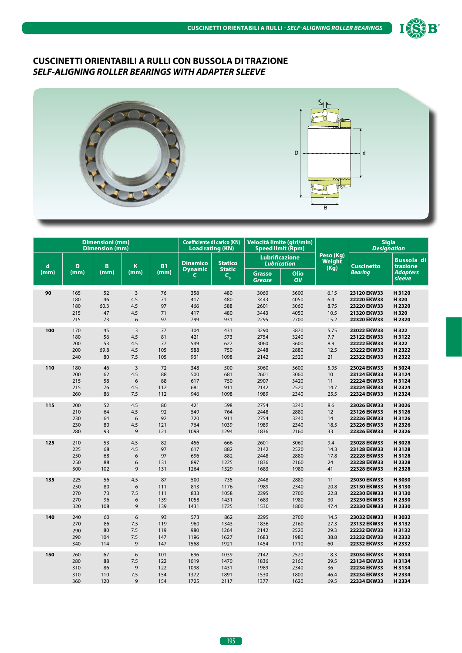



|      |      | <b>Dimensioni</b> (mm)<br><b>Dimension (mm)</b> |                |           | <b>Coefficiente di carico (KN)</b><br><b>Load rating (KN)</b> |                                               |                                | Velocità limite (giri/min)<br><b>Speed limit (Rpm)</b> |                             |                   | <b>Sigla</b><br><b>Designation</b> |
|------|------|-------------------------------------------------|----------------|-----------|---------------------------------------------------------------|-----------------------------------------------|--------------------------------|--------------------------------------------------------|-----------------------------|-------------------|------------------------------------|
| d    | D    | B                                               | K              | <b>B1</b> | <b>Dinamico</b>                                               | <b>Statico</b>                                |                                | <b>Lubrificazione</b><br><b>Lubrication</b>            | Peso (Kg)<br>Weight<br>(Kg) | <b>Cuscinetto</b> | <b>Bussola di</b><br>trazione      |
| (mm) | (mm) | (mm)                                            | (mm)           | (mm)      | <b>Dynamic</b><br>C                                           | <b>Static</b><br>$\mathsf{C}_{_{\mathbf{0}}}$ | <b>Grasso</b><br><b>Grease</b> | Olio<br>Oil                                            |                             | <b>Bearing</b>    | <b>Adapters</b><br>sleeve          |
| 90   | 165  | 52                                              | $\overline{3}$ | 76        | 358                                                           | 480                                           | 3060                           | 3600                                                   | 6.15                        | 23120 EKW33       | H3120                              |
|      | 180  | 46                                              | 4.5            | 71        | 417                                                           | 480                                           | 3443                           | 4050                                                   | 6.4                         | 22220 EKW33       | H320                               |
|      | 180  | 60.3                                            | 4.5            | 97        | 466                                                           | 588                                           | 2601                           | 3060                                                   | 8.75                        | 23220 EKW33       | H 2320                             |
|      | 215  | 47                                              | 4.5            | 71        | 417                                                           | 480                                           | 3443                           | 4050                                                   | 10.5                        | 21320 EKW33       | H320                               |
|      | 215  | 73                                              | 6              | 97        | 799                                                           | 931                                           | 2295                           | 2700                                                   | 15.2                        | 22320 EKW33       | H 2320                             |
| 100  | 170  | 45                                              | $\overline{3}$ | 77        | 304                                                           | 431                                           | 3290                           | 3870                                                   | 5.75                        | 23022 EKW33       | H322                               |
|      | 180  | 56                                              | 4.5            | 81        | 421                                                           | 573                                           | 2754                           | 3240                                                   | 7.7                         | 23122 EKW33       | H3122                              |
|      | 200  | 53                                              | 4.5            | 77        | 549                                                           | 627                                           | 3060                           | 3600                                                   | 8.9                         | 22222 EKW33       | H322                               |
|      | 200  | 69.8                                            | 4.5            | 105       | 588                                                           | 750                                           | 2448                           | 2880                                                   | 12.5                        | 23222 EKW33       | H 2322                             |
|      | 240  | 80                                              | 7.5            | 105       | 931                                                           | 1098                                          | 2142                           | 2520                                                   | 21                          | 22322 EKW33       | H 2322                             |
| 110  | 180  | 46                                              | 3              | 72        | 348                                                           | 500                                           | 3060                           | 3600                                                   | 5.95                        | 23024 EKW33       | H3024                              |
|      | 200  | 62                                              | 4.5            | 88        | 500                                                           | 681                                           | 2601                           | 3060                                                   | 10                          | 23124 EKW33       | H3124                              |
|      | 215  | 58                                              | 6              | 88        | 617                                                           | 750                                           | 2907                           | 3420                                                   | 11                          | 22224 EKW33       | H3124                              |
|      | 215  | 76                                              | 4.5            | 112       | 681                                                           | 911                                           | 2142                           | 2520                                                   | 14.7                        | 23224 EKW33       | H 2324                             |
|      | 260  | 86                                              | 7.5            | 112       | 946                                                           | 1098                                          | 1989                           | 2340                                                   | 25.5                        | 22324 EKW33       | H 2324                             |
| 115  | 200  | 52                                              | 4.5            | 80        | 421                                                           | 598                                           | 2754                           | 3240                                                   | 8.6                         | 23026 EKW33       | H3026                              |
|      | 210  | 64                                              | 4.5            | 92        | 549                                                           | 764                                           | 2448                           | 2880                                                   | 12                          | 23126 EKW33       | H3126                              |
|      | 230  | 64                                              | 6              | 92        | 720                                                           | 911                                           | 2754                           | 3240                                                   | 14                          | 22226 EKW33       | H3126                              |
|      | 230  | 80                                              | 4.5            | 121       | 764                                                           | 1039                                          | 1989                           | 2340                                                   | 18.5                        | 23226 EKW33       | H 2326                             |
|      | 280  | 93                                              | $\mathsf 9$    | 121       | 1098                                                          | 1294                                          | 1836                           | 2160                                                   | 33                          | 22326 EKW33       | H 2326                             |
| 125  | 210  | 53                                              | 4.5            | 82        | 456                                                           | 666                                           | 2601                           | 3060                                                   | 9.4                         | 23028 EKW33       | H3028                              |
|      | 225  | 68                                              | 4.5            | 97        | 617                                                           | 882                                           | 2142                           | 2520                                                   | 14.3                        | 23128 EKW33       | H3128                              |
|      | 250  | 68                                              | 6              | 97        | 696                                                           | 882                                           | 2448                           | 2880                                                   | 17.8                        | 22228 EKW33       | H3128                              |
|      | 250  | 88                                              | 6              | 131       | 897                                                           | 1225                                          | 1836                           | 2160                                                   | 24                          | 23228 EKW33       | H 2328                             |
|      | 300  | 102                                             | 9              | 131       | 1264                                                          | 1529                                          | 1683                           | 1980                                                   | 41                          | 22328 EKW33       | H 2328                             |
| 135  | 225  | 56                                              | 4.5            | 87        | 500                                                           | 735                                           | 2448                           | 2880                                                   | 11                          | 23030 EKW33       | H3030                              |
|      | 250  | 80                                              | 6              | 111       | 813                                                           | 1176                                          | 1989                           | 2340                                                   | 20.8                        | 23130 EKW33       | H3130                              |
|      | 270  | 73                                              | 7.5            | 111       | 833                                                           | 1058                                          | 2295                           | 2700                                                   | 22.8                        | 22230 EKW33       | H3130                              |
|      | 270  | 96                                              | 6              | 139       | 1058                                                          | 1431                                          | 1683                           | 1980                                                   | 30                          | 23230 EKW33       | H 2330                             |
|      | 320  | 108                                             | 9              | 139       | 1431                                                          | 1725                                          | 1530                           | 1800                                                   | 47.4                        | 22330 EKW33       | H 2330                             |
| 140  | 240  | 60                                              | 6              | 93        | 573                                                           | 862                                           | 2295                           | 2700                                                   | 14.5                        | 23032 EKW33       | H3032                              |
|      | 270  | 86                                              | 7.5            | 119       | 960                                                           | 1343                                          | 1836                           | 2160                                                   | 27.3                        | 23132 EKW33       | H3132                              |
|      | 290  | 80                                              | 7.5            | 119       | 980                                                           | 1264                                          | 2142                           | 2520                                                   | 29.3                        | 22232 EKW33       | H3132                              |
|      | 290  | 104                                             | 7.5            | 147       | 1196                                                          | 1627                                          | 1683                           | 1980                                                   | 38.8                        | 23232 EKW33       | H 2332                             |
|      | 340  | 114                                             | 9              | 147       | 1568                                                          | 1921                                          | 1454                           | 1710                                                   | 60                          | 22332 EKW33       | H 2332                             |
| 150  | 260  | 67                                              | 6              | 101       | 696                                                           | 1039                                          | 2142                           | 2520                                                   | 18.3                        | 23034 EKW33       | H3034                              |
|      | 280  | 88                                              | 7.5            | 122       | 1019                                                          | 1470                                          | 1836                           | 2160                                                   | 29.5                        | 23134 EKW33       | H3134                              |
|      | 310  | 86                                              | 9              | 122       | 1098                                                          | 1431                                          | 1989                           | 2340                                                   | 36                          | 22234 EKW33       | H3134                              |
|      | 310  | 110                                             | 7.5            | 154       | 1372                                                          | 1891                                          | 1530                           | 1800                                                   | 46.4                        | 23234 EKW33       | H 2334                             |
|      | 360  | 120                                             | 9              | 154       | 1725                                                          | 2117                                          | 1377                           | 1620                                                   | 69.5                        | 22334 EKW33       | H 2334                             |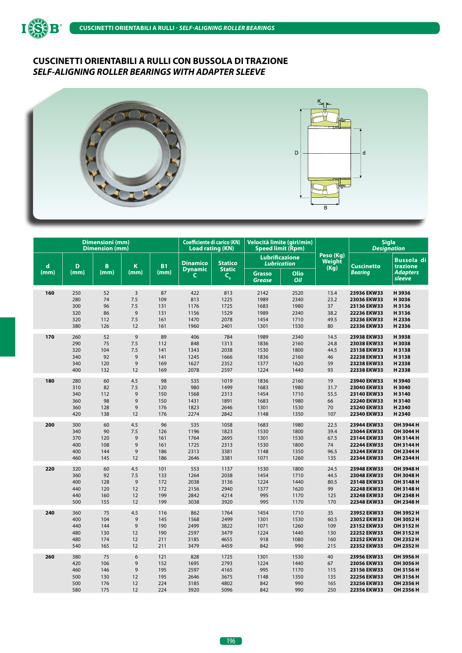



|      |      | <b>Dimensioni</b> (mm)<br><b>Dimension (mm)</b> |                |           | <b>Coefficiente di carico (KN)</b><br><b>Load rating (KN)</b> |                                               |                                | Velocità limite (giri/min)<br><b>Speed limit (Rpm)</b> |                                    | <b>Sigla</b><br><b>Designation</b> |                               |
|------|------|-------------------------------------------------|----------------|-----------|---------------------------------------------------------------|-----------------------------------------------|--------------------------------|--------------------------------------------------------|------------------------------------|------------------------------------|-------------------------------|
| d    | D    | B                                               | K              | <b>B1</b> | <b>Dinamico</b>                                               | <b>Statico</b>                                |                                | <b>Lubrificazione</b><br><b>Lubrication</b>            | Peso (Kg)<br><b>Weight</b><br>(Kg) | <b>Cuscinetto</b>                  | <b>Bussola</b> di<br>trazione |
| (mm) | (mm) | (mm)                                            | (mm)           | (mm)      | <b>Dynamic</b><br>C                                           | <b>Static</b><br>$\mathsf{C}_{_{\mathbf{0}}}$ | <b>Grasso</b><br><b>Grease</b> | Olio<br>Oil                                            |                                    | Bearing                            | <b>Adapters</b><br>sleeve     |
| 160  | 250  | 52                                              | $\overline{3}$ | 87        | 422                                                           | 813                                           | 2142                           | 2520                                                   | 13.4                               | 23936 EKW33                        | H3936                         |
|      | 280  | 74                                              | 7.5            | 109       | 813                                                           | 1225                                          | 1989                           | 2340                                                   | 23.2                               | 23036 EKW33                        | H3036                         |
|      | 300  | 96                                              | 7.5            | 131       | 1176                                                          | 1725                                          | 1683                           | 1980                                                   | 37                                 | 23136 EKW33                        | H3136                         |
|      | 320  | 86                                              | 9              | 131       | 1156                                                          | 1529                                          | 1989                           | 2340                                                   | 38.2                               | 22236 EKW33                        | H3136                         |
|      | 320  | 112                                             | 7.5            | 161       | 1470                                                          | 2078                                          | 1454                           | 1710                                                   | 49.5                               | 23236 EKW33                        | H 2336                        |
|      | 380  | 126                                             | 12             | 161       | 1960                                                          | 2401                                          | 1301                           | 1530                                                   | 80                                 | 22336 EKW33                        | H 2336                        |
| 170  | 260  | 52                                              | 9              | 89        | 406                                                           | 784                                           | 1989                           | 2340                                                   | 14.5                               | 23938 EKW33                        | H3938                         |
|      | 290  | 75                                              | 7.5            | 112       | 848                                                           | 1313                                          | 1836                           | 2160                                                   | 24.8                               | 23038 EKW33                        | H3038                         |
|      | 320  | 104                                             | 7.5            | 141       | 1343                                                          | 2038                                          | 1530                           | 1800                                                   | 44.5                               | 23138 EKW33                        | H3138                         |
|      | 340  | 92                                              | 9              | 141       | 1245                                                          | 1666                                          | 1836                           | 2160                                                   | 46                                 | 22238 EKW33                        | H3138                         |
|      | 340  | 120                                             | 9              | 169       | 1627                                                          | 2352                                          | 1377                           | 1620                                                   | 59                                 | 23238 EKW33                        | H 2338                        |
|      | 400  | 132                                             | 12             | 169       | 2078                                                          | 2597                                          | 1224                           | 1440                                                   | 93                                 | 22338 EKW33                        | H 2338                        |
| 180  | 280  | 60                                              | 4.5            | 98        | 535                                                           | 1019                                          | 1836                           | 2160                                                   | 19                                 | 23940 EKW33                        | H3940                         |
|      | 310  | 82                                              | 7.5            | 120       | 980                                                           | 1499                                          | 1683                           | 1980                                                   | 31.7                               | 23040 EKW33                        | H3040                         |
|      | 340  | 112                                             | 9              | 150       | 1568                                                          | 2313                                          | 1454                           | 1710                                                   | 55.5                               | 23140 EKW33                        | H3140                         |
|      | 360  | 98                                              | $\mathsf 9$    | 150       | 1431                                                          | 1891                                          | 1683                           | 1980                                                   | 66                                 | 22240 EKW33                        | H3140                         |
|      | 360  | 128                                             | $\mathsf g$    | 176       | 1823                                                          | 2646                                          | 1301                           | 1530                                                   | 70                                 | 23240 EKW33                        | H 2340                        |
|      | 420  | 138                                             | 12             | 176       | 2274                                                          | 2842                                          | 1148                           | 1350                                                   | 107                                | 22340 EKW33                        | H2340                         |
| 200  | 300  | 60                                              | 4.5            | 96        | 535                                                           | 1058                                          | 1683                           | 1980                                                   | 22.5                               | 23944 EKW33                        | OH 3944 H                     |
|      | 340  | 90                                              | 7.5            | 126       | 1196                                                          | 1823                                          | 1530                           | 1800                                                   | 39.4                               | 23044 EKW33                        | OH 3044 H                     |
|      | 370  | 120                                             | $\mathsf g$    | 161       | 1764                                                          | 2695                                          | 1301                           | 1530                                                   | 67.5                               | 23144 EKW33                        | OH 3144 H                     |
|      | 400  | 108                                             | 9              | 161       | 1725                                                          | 2313                                          | 1530                           | 1800                                                   | 74                                 | 22244 EKW33                        | OH 3144 H                     |
|      | 400  | 144                                             | $\mathsf g$    | 186       | 2313                                                          | 3381                                          | 1148                           | 1350                                                   | 96.5                               | 23244 EKW33                        | OH 2344 H                     |
|      | 460  | 145                                             | 12             | 186       | 2646                                                          | 3381                                          | 1071                           | 1260                                                   | 135                                | 22344 EKW33                        | OH 2344 H                     |
| 220  | 320  | 60                                              | 4.5            | 101       | 553                                                           | 1137                                          | 1530                           | 1800                                                   | 24.5                               | 23948 EKW33                        | OH 3948 H                     |
|      | 360  | 92                                              | 7.5            | 133       | 1264                                                          | 2038                                          | 1454                           | 1710                                                   | 44.5                               | 23048 EKW33                        | OH 3048 H                     |
|      | 400  | 128                                             | $\mathsf g$    | 172       | 2038                                                          | 3136                                          | 1224                           | 1440                                                   | 80.5                               | 23148 EKW33                        | OH 3148 H                     |
|      | 440  | 120                                             | 12             | 172       | 2156                                                          | 2940                                          | 1377                           | 1620                                                   | 99                                 | 22248 EKW33                        | OH 3148 H                     |
|      | 440  | 160                                             | 12             | 199       | 2842                                                          | 4214                                          | 995                            | 1170                                                   | 125                                | 23248 EKW33                        | OH 2348 H                     |
|      | 500  | 155                                             | 12             | 199       | 3038                                                          | 3920                                          | 995                            | 1170                                                   | 170                                | 22348 EKW33                        | OH 2348 H                     |
| 240  | 360  | 75                                              | 4.5            | 116       | 862                                                           | 1764                                          | 1454                           | 1710                                                   | 35                                 | 23952 EKW33                        | OH 3952 H                     |
|      | 400  | 104                                             | 9              | 145       | 1568                                                          | 2499                                          | 1301                           | 1530                                                   | 60.5                               | 23052 EKW33                        | OH 3052 H                     |
|      | 440  | 144                                             | 9              | 190       | 2499                                                          | 3822                                          | 1071                           | 1260                                                   | 109                                | 23152 EKW33                        | OH 3152 H                     |
|      | 480  | 130                                             | 12             | 190       | 2597                                                          | 3479                                          | 1224                           | 1440                                                   | 130                                | 22252 EKW33                        | OH 3152 H                     |
|      | 480  | 174                                             | 12             | 211       | 3185                                                          | 4655                                          | 918                            | 1080                                                   | 160                                | 23252 EKW33                        | OH 2352 H                     |
|      | 540  | 165                                             | 12             | 211       | 3479                                                          | 4459                                          | 842                            | 990                                                    | 215                                | 22352 EKW33                        | OH 2352 H                     |
| 260  | 380  | 75                                              | 6              | 121       | 828                                                           | 1725                                          | 1301                           | 1530                                                   | 40                                 | 23956 EKW33                        | OH 3956 H                     |
|      | 420  | 106                                             | 9              | 152       | 1695                                                          | 2793                                          | 1224                           | 1440                                                   | 67                                 | 23056 EKW33                        | OH 3056 H                     |
|      | 460  | 146                                             | 9              | 195       | 2597                                                          | 4165                                          | 995                            | 1170                                                   | 115                                | 23156 EKW33                        | OH 3156 H                     |
|      | 500  | 130                                             | 12             | 195       | 2646                                                          | 3675                                          | 1148                           | 1350                                                   | 135                                | 22256 EKW33                        | OH 3156 H                     |
|      | 500  | 176                                             | 12             | 224       | 3185                                                          | 4802                                          | 842                            | 990                                                    | 165                                | 23256 EKW33                        | OH 2356 H                     |
|      | 580  | 175                                             | 12             | 224       | 3920                                                          | 5096                                          | 842                            | 990                                                    | 250                                | 22356 EKW33                        | OH 2356 H                     |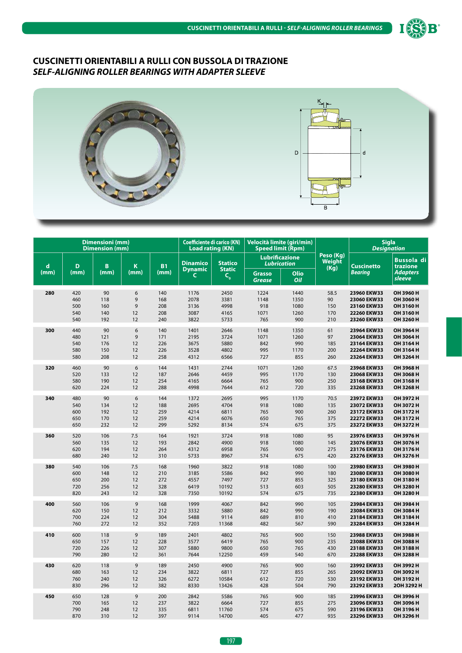



|             |      | <b>Dimensioni</b> (mm)<br><b>Dimension (mm)</b> |       |           |                                   | <b>Coefficiente di carico (KN)</b><br><b>Load rating (KN)</b> |                                | Velocità limite (giri/min)<br><b>Speed limit (Rpm)</b> |                             |                   | <b>Sigla</b><br><b>Designation</b> |
|-------------|------|-------------------------------------------------|-------|-----------|-----------------------------------|---------------------------------------------------------------|--------------------------------|--------------------------------------------------------|-----------------------------|-------------------|------------------------------------|
| $\mathbf d$ | D    | B                                               | K     | <b>B1</b> | <b>Dinamico</b><br><b>Dynamic</b> | <b>Statico</b><br><b>Static</b>                               |                                | <b>Lubrificazione</b><br><b>Lubrication</b>            | Peso (Kg)<br>Weight<br>(Kg) | <b>Cuscinetto</b> | <b>Bussola</b> di<br>trazione      |
| (mm)        | (mm) | (mm)                                            | (mm)  | (mm)      | $\mathsf{C}$                      | $C_{o}$                                                       | <b>Grasso</b><br><b>Grease</b> | Olio<br>Oil                                            |                             | <b>Bearing</b>    | <b>Adapters</b><br>sleeve          |
| 280         | 420  | 90                                              | 6     | 140       | 1176                              | 2450                                                          | 1224                           | 1440                                                   | 58.5                        | 23960 EKW33       | OH 3960 H                          |
|             | 460  | 118                                             | 9     | 168       | 2078                              | 3381                                                          | 1148                           | 1350                                                   | 90                          | 23060 EKW33       | OH 3060 H                          |
|             | 500  | 160                                             | 9     | 208       | 3136                              | 4998                                                          | 918                            | 1080                                                   | 150                         | 23160 EKW33       | OH 3160 H                          |
|             | 540  | 140                                             | 12    | 208       | 3087                              | 4165                                                          | 1071                           | 1260                                                   | 170                         | 22260 EKW33       | OH 3160 H                          |
|             | 540  | 192                                             | 12    | 240       | 3822                              | 5733                                                          | 765                            | 900                                                    | 210                         | 23260 EKW33       | OH 3260 H                          |
| 300         | 440  | 90                                              | $6\,$ | 140       | 1401                              | 2646                                                          | 1148                           | 1350                                                   | 61                          | 23964 EKW33       | OH 3964 H                          |
|             | 480  | 121                                             | 9     | 171       | 2195                              | 3724                                                          | 1071                           | 1260                                                   | 97                          | 23064 EKW33       | OH 3064 H                          |
|             | 540  | 176                                             | 12    | 226       | 3675                              | 5880                                                          | 842                            | 990                                                    | 185                         | 23164 EKW33       | OH 3164 H                          |
|             | 580  | 150                                             | 12    | 226       | 3528                              | 4802                                                          | 995                            | 1170                                                   | 200                         | 22264 EKW33       | OH 3164 H                          |
|             | 580  | 208                                             | 12    | 258       | 4312                              | 6566                                                          | 727                            | 855                                                    | 260                         | 23264 EKW33       | OH 3264 H                          |
| 320         | 460  | 90                                              | 6     | 144       | 1431                              | 2744                                                          | 1071                           | 1260                                                   | 67.5                        | 23968 EKW33       | OH 3968 H                          |
|             | 520  | 133                                             | 12    | 187       | 2646                              | 4459                                                          | 995                            | 1170                                                   | 130                         | 23068 EKW33       | OH 3068 H                          |
|             | 580  | 190                                             | 12    | 254       | 4165                              | 6664                                                          | 765                            | 900                                                    | 250                         | 23168 EKW33       | OH 3168 H                          |
|             | 620  | 224                                             | 12    | 288       | 4998                              | 7644                                                          | 612                            | 720                                                    | 335                         | 23268 EKW33       | OH 3268 H                          |
| 340         | 480  | 90                                              | 6     | 144       | 1372                              | 2695                                                          | 995                            | 1170                                                   | 70.5                        | 23972 EKW33       | OH 3972 H                          |
|             | 540  | 134                                             | 12    | 188       | 2695                              | 4704                                                          | 918                            | 1080                                                   | 135                         | 23072 EKW33       | OH 3072 H                          |
|             | 600  | 192                                             | 12    | 259       | 4214                              | 6811                                                          | 765                            | 900                                                    | 260                         | 23172 EKW33       | OH 3172 H                          |
|             | 650  | 170                                             | 12    | 259       | 4214                              | 6076                                                          | 650                            | 765                                                    | 375                         | 22272 EKW33       | OH 3172 H                          |
|             | 650  | 232                                             | 12    | 299       | 5292                              | 8134                                                          | 574                            | 675                                                    | 375                         | 23272 EKW33       | OH 3272 H                          |
| 360         | 520  | 106                                             | 7.5   | 164       | 1921                              | 3724                                                          | 918                            | 1080                                                   | 95                          | 23976 EKW33       | OH 3976 H                          |
|             | 560  | 135                                             | 12    | 193       | 2842                              | 4900                                                          | 918                            | 1080                                                   | 145                         | 23076 EKW33       | OH 3076 H                          |
|             | 620  | 194                                             | 12    | 264       | 4312                              | 6958                                                          | 765                            | 900                                                    | 275                         | 23176 EKW33       | OH 3176 H                          |
|             | 680  | 240                                             | 12    | 310       | 5733                              | 8967                                                          | 574                            | 675                                                    | 420                         | 23276 EKW33       | OH 3276 H                          |
| 380         | 540  | 106                                             | 7.5   | 168       | 1960                              | 3822                                                          | 918                            | 1080                                                   | 100                         | 23980 EKW33       | OH 3980 H                          |
|             | 600  | 148                                             | 12    | 210       | 3185                              | 5586                                                          | 842                            | 990                                                    | 180                         | 23080 EKW33       | OH 3080 H                          |
|             | 650  | 200                                             | 12    | 272       | 4557                              | 7497                                                          | 727                            | 855                                                    | 325                         | 23180 EKW33       | OH 3180 H                          |
|             | 720  | 256                                             | 12    | 328       | 6419                              | 10192                                                         | 513                            | 603                                                    | 505                         | 23280 EKW33       | OH 3280 H                          |
|             | 820  | 243                                             | 12    | 328       | 7350                              | 10192                                                         | 574                            | 675                                                    | 735                         | 22380 EKW33       | OH 3280 H                          |
| 400         | 560  | 106                                             | 9     | 168       | 1999                              | 4067                                                          | 842                            | 990                                                    | 105                         | 23984 EKW33       | OH 3984 H                          |
|             | 620  | 150                                             | 12    | 212       | 3332                              | 5880                                                          | 842                            | 990                                                    | 190                         | 23084 EKW33       | OH 3084 H                          |
|             | 700  | 224                                             | 12    | 304       | 5488                              | 9114                                                          | 689                            | 810                                                    | 410                         | 23184 EKW33       | OH 3184 H                          |
|             | 760  | 272                                             | 12    | 352       | 7203                              | 11368                                                         | 482                            | 567                                                    | 590                         | 23284 EKW33       | OH 3284 H                          |
| 410         | 600  | 118                                             | 9     | 189       | 2401                              | 4802                                                          | 765                            | 900                                                    | 150                         | 23988 EKW33       | OH 3988 H                          |
|             | 650  | 157                                             | 12    | 228       | 3577                              | 6419                                                          | 765                            | 900                                                    | 235                         | 23088 EKW33       | OH 3088 H                          |
|             | 720  | 226                                             | 12    | 307       | 5880                              | 9800                                                          | 650                            | 765                                                    | 430                         | 23188 EKW33       | OH 3188 H                          |
|             | 790  | 280                                             | 12    | 361       | 7644                              | 12250                                                         | 459                            | 540                                                    | 670                         | 23288 EKW33       | OH 3288 H                          |
| 430         | 620  | 118                                             | 9     | 189       | 2450                              | 4900                                                          | 765                            | 900                                                    | 160                         | 23992 EKW33       | OH 3992 H                          |
|             | 680  | 163                                             | 12    | 234       | 3822                              | 6811                                                          | 727                            | 855                                                    | 265                         | 23092 EKW33       | OH 3092 H                          |
|             | 760  | 240                                             | 12    | 326       | 6272                              | 10584                                                         | 612                            | 720                                                    | 530                         | 23192 EKW33       | OH 3192 H                          |
|             | 830  | 296                                             | 12    | 382       | 8330                              | 13426                                                         | 428                            | 504                                                    | 790                         | 23292 EKW33       | 20H 3292 H                         |
| 450         | 650  | 128                                             | 9     | 200       | 2842                              | 5586                                                          | 765                            | 900                                                    | 185                         | 23996 EKW33       | OH 3996 H                          |
|             | 700  | 165                                             | 12    | 237       | 3822                              | 6664                                                          | 727                            | 855                                                    | 275                         | 23096 EKW33       | OH 3096 H                          |
|             | 790  | 248                                             | 12    | 335       | 6811                              | 11760                                                         | 574                            | 675                                                    | 590                         | 23196 EKW33       | OH 3196 H                          |
|             | 870  | 310                                             | 12    | 397       | 9114                              | 14700                                                         | 405                            | 477                                                    | 935                         | 23296 EKW33       | OH 3296 H                          |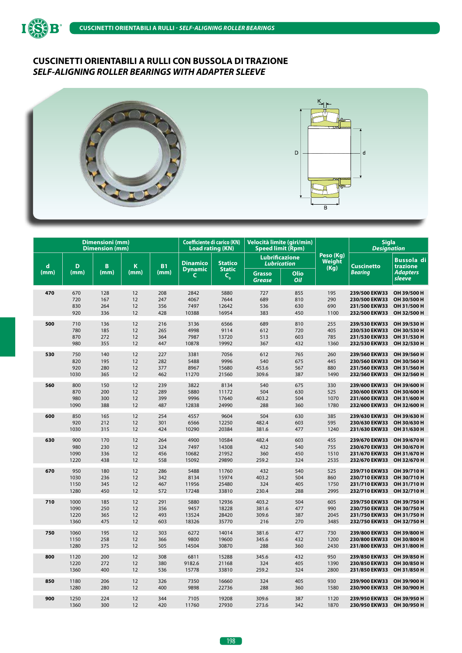



|             |      | Dimensioni (mm)<br><b>Dimension (mm)</b> |      |           | <b>Coefficiente di carico (KN)</b><br><b>Load rating (KN)</b> |                                         | Velocità limite (giri/min)<br><b>Speed limit (Rpm)</b> |             |                             | <b>Sigla</b><br><b>Designation</b> |                               |
|-------------|------|------------------------------------------|------|-----------|---------------------------------------------------------------|-----------------------------------------|--------------------------------------------------------|-------------|-----------------------------|------------------------------------|-------------------------------|
| $\mathbf d$ | D    | B                                        | K    | <b>B1</b> | <b>Dinamico</b>                                               | <b>Statico</b><br><b>Static</b>         | <b>Lubrificazione</b><br>Lubrication                   |             | Peso (Kg)<br>Weight<br>(Kg) | <b>Cuscinetto</b>                  | <b>Bussola di</b><br>trazione |
| (mm)        | (mm) | (mm)                                     | (mm) | (mm)      | <b>Dynamic</b><br>C                                           | $\mathsf{C}_{_{\scriptscriptstyle{0}}}$ | <b>Grasso</b><br><b>Grease</b>                         | Olio<br>Oil |                             | Bearing                            | <b>Adapters</b><br>sleeve     |
| 470         | 670  | 128                                      | 12   | 208       | 2842                                                          | 5880                                    | 727                                                    | 855         | 195                         | 239/500 EKW33                      | OH 39/500 H                   |
|             | 720  | 167                                      | 12   | 247       | 4067                                                          | 7644                                    | 689                                                    | 810         | 290                         | 230/500 EKW33                      | OH 30/500 H                   |
|             | 830  | 264                                      | 12   | 356       | 7497                                                          | 12642                                   | 536                                                    | 630         | 690                         | 231/500 EKW33                      | OH 31/500 H                   |
|             | 920  | 336                                      | 12   | 428       | 10388                                                         | 16954                                   | 383                                                    | 450         | 1100                        | 232/500 EKW33                      | OH 32/500 H                   |
| 500         | 710  | 136                                      | 12   | 216       | 3136                                                          | 6566                                    | 689                                                    | 810         | 255                         | 239/530 EKW33                      | OH 39/530 H                   |
|             | 780  | 185                                      | 12   | 265       | 4998                                                          | 9114                                    | 612                                                    | 720         | 405                         | 230/530 EKW33                      | OH 30/530 H                   |
|             | 870  | 272                                      | 12   | 364       | 7987                                                          | 13720                                   | 513                                                    | 603         | 785                         | 231/530 EKW33                      | OH 31/530 H                   |
|             | 980  | 355                                      | 12   | 447       | 10878                                                         | 19992                                   | 367                                                    | 432         | 1360                        | 232/530 EKW33                      | OH 32/530 H                   |
| 530         | 750  | 140                                      | 12   | 227       | 3381                                                          | 7056                                    | 612                                                    | 765         | 260                         | 239/560 EKW33                      | OH 39/560 H                   |
|             | 820  | 195                                      | 12   | 282       | 5488                                                          | 9996                                    | 540                                                    | 675         | 445                         | 230/560 EKW33                      | OH 30/560 H                   |
|             | 920  | 280                                      | 12   | 377       | 8967                                                          | 15680                                   | 453.6                                                  | 567         | 880                         | 231/560 EKW33                      | OH 31/560 H                   |
|             | 1030 | 365                                      | 12   | 462       | 11270                                                         | 21560                                   | 309.6                                                  | 387         | 1490                        | 232/560 EKW33                      | OH 32/560 H                   |
| 560         | 800  | 150                                      | 12   | 239       | 3822                                                          | 8134                                    | 540                                                    | 675         | 330                         | 239/600 EKW33                      | OH 39/600 H                   |
|             | 870  | 200                                      | 12   | 289       | 5880                                                          | 11172                                   | 504                                                    | 630         | 525                         | 230/600 EKW33                      | OH 30/600 H                   |
|             | 980  | 300                                      | 12   | 399       | 9996                                                          | 17640                                   | 403.2                                                  | 504         | 1070                        | 231/600 EKW33                      | OH 31/600 H                   |
|             | 1090 | 388                                      | 12   | 487       | 12838                                                         | 24990                                   | 288                                                    | 360         | 1780                        | 232/600 EKW33                      | OH 32/600 H                   |
| 600         | 850  | 165                                      | 12   | 254       | 4557                                                          | 9604                                    | 504                                                    | 630         | 385                         | 239/630 EKW33                      | OH 39/630 H                   |
|             | 920  | 212                                      | 12   | 301       | 6566                                                          | 12250                                   | 482.4                                                  | 603         | 595                         | 230/630 EKW33                      | OH 30/630 H                   |
|             | 1030 | 315                                      | 12   | 424       | 10290                                                         | 20384                                   | 381.6                                                  | 477         | 1240                        | 231/630 EKW33                      | OH 31/630 H                   |
| 630         | 900  | 170                                      | 12   | 264       | 4900                                                          | 10584                                   | 482.4                                                  | 603         | 455                         | 239/670 EKW33                      | OH 39/670 H                   |
|             | 980  | 230                                      | 12   | 324       | 7497                                                          | 14308                                   | 432                                                    | 540         | 755                         | 230/670 EKW33                      | OH 30/670 H                   |
|             | 1090 | 336                                      | 12   | 456       | 10682                                                         | 21952                                   | 360                                                    | 450         | 1510                        | 231/670 EKW33                      | OH 31/670 H                   |
|             | 1220 | 438                                      | 12   | 558       | 15092                                                         | 29890                                   | 259.2                                                  | 324         | 2535                        | 232/670 EKW33                      | OH 32/670 H                   |
| 670         | 950  | 180                                      | 12   | 286       | 5488                                                          | 11760                                   | 432                                                    | 540         | 525                         | 239/710 EKW33                      | OH 39/710 H                   |
|             | 1030 | 236                                      | 12   | 342       | 8134                                                          | 15974                                   | 403.2                                                  | 504         | 860                         | 230/710 EKW33                      | OH 30/710 H                   |
|             | 1150 | 345                                      | 12   | 467       | 11956                                                         | 25480                                   | 324                                                    | 405         | 1750                        | 231/710 EKW33                      | OH 31/710 H                   |
|             | 1280 | 450                                      | 12   | 572       | 17248                                                         | 33810                                   | 230.4                                                  | 288         | 2995                        | 232/710 EKW33                      | OH 32/710 H                   |
| 710         | 1000 | 185                                      | 12   | 291       | 5880                                                          | 12936                                   | 403.2                                                  | 504         | 605                         | 239/750 EKW33                      | OH 39/750 H                   |
|             | 1090 | 250                                      | 12   | 356       | 9457                                                          | 18228                                   | 381.6                                                  | 477         | 990                         | 230/750 EKW33                      | OH 30/750 H                   |
|             | 1220 | 365                                      | 12   | 493       | 13524                                                         | 28420                                   | 309.6                                                  | 387         | 2045                        | 231/750 EKW33                      | OH 31/750 H                   |
|             | 1360 | 475                                      | 12   | 603       | 18326                                                         | 35770                                   | 216                                                    | 270         | 3485                        | 232/750 EKW33                      | OH 32/750 H                   |
| 750         | 1060 | 195                                      | 12   | 303       | 6272                                                          | 14014                                   | 381.6                                                  | 477         | 730                         | 239/800 EKW33                      | OH 39/800 H                   |
|             | 1150 | 258                                      | 12   | 366       | 9800                                                          | 19600                                   | 345.6                                                  | 432         | 1200                        | 230/800 EKW33                      | OH 30/800 H                   |
|             | 1280 | 375                                      | 12   | 505       | 14504                                                         | 30870                                   | 288                                                    | 360         | 2430                        | 231/800 EKW33                      | OH 31/800 H                   |
| 800         | 1120 | 200                                      | 12   | 308       | 6811                                                          | 15288                                   | 345.6                                                  | 432         | 950                         | 239/850 EKW33                      | OH 39/850 H                   |
|             | 1220 | 272                                      | 12   | 380       | 9182.6                                                        | 21168                                   | 324                                                    | 405         | 1390                        | 230/850 EKW33                      | OH 30/850 H                   |
|             | 1360 | 400                                      | 12   | 536       | 15778                                                         | 33810                                   | 259.2                                                  | 324         | 2800                        | 231/850 EKW33                      | OH 31/850 H                   |
| 850         | 1180 | 206                                      | 12   | 326       | 7350                                                          | 16660                                   | 324                                                    | 405         | 930                         | 239/900 EKW33                      | OH 39/900 H                   |
|             | 1280 | 280                                      | 12   | 400       | 9898                                                          | 22736                                   | 288                                                    | 360         | 1580                        | 230/900 EKW33                      | OH 30/900 H                   |
| 900         | 1250 | 224                                      | 12   | 344       | 7105                                                          | 19208                                   | 309.6                                                  | 387         | 1120                        | 239/950 EKW33                      | OH 39/950 H                   |
|             | 1360 | 300                                      | 12   | 420       | 11760                                                         | 27930                                   | 273.6                                                  | 342         | 1870                        | 230/950 EKW33                      | OH 30/950 H                   |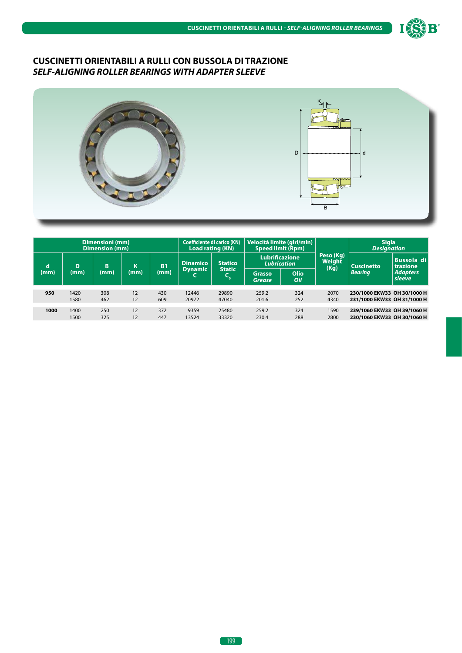



|      | Dimensioni (mm)<br><b>Dimension (mm)</b> |            |          |            |                     | <b>Coefficiente di carico (KN)</b><br><b>Load rating (KN)</b> |                                                              | Velocità limite (giri/min)<br><b>Speed limit (Rpm)</b>             |                | <b>Sigla</b><br><b>Designation</b>                         |                               |
|------|------------------------------------------|------------|----------|------------|---------------------|---------------------------------------------------------------|--------------------------------------------------------------|--------------------------------------------------------------------|----------------|------------------------------------------------------------|-------------------------------|
| d    | D                                        | B          | κ        | <b>B1</b>  | <b>Dinamico</b>     | <b>Statico</b>                                                |                                                              | Peso (Kg)<br><b>Lubrificazione</b><br>Weight<br><b>Lubrication</b> |                | <b>Cuscinetto</b>                                          | <b>Bussola di</b><br>trazione |
| (mm) | (mm)                                     | (mm)       | (mm)     | (mm)       | <b>Dynamic</b><br>◟ | <b>Static</b><br>Чò.                                          | (Kg)<br><b>Olio</b><br><b>Grasso</b><br>Oil<br><b>Grease</b> |                                                                    | <b>Bearing</b> | <b>Adapters</b><br>sleeve                                  |                               |
| 950  | 1420<br>1580                             | 308<br>462 | 12<br>12 | 430<br>609 | 12446<br>20972      | 29890<br>47040                                                | 259.2<br>201.6                                               | 324<br>252                                                         | 2070<br>4340   | 230/1000 EKW33 OH 30/1000 H<br>231/1000 EKW33 OH 31/1000 H |                               |
| 1000 | 1400<br>1500                             | 250<br>325 | 12<br>12 | 372<br>447 | 9359<br>13524       | 25480<br>33320                                                | 259.2<br>230.4                                               | 324<br>288                                                         | 1590<br>2800   | 239/1060 EKW33 OH 39/1060 H<br>230/1060 EKW33 OH 30/1060 H |                               |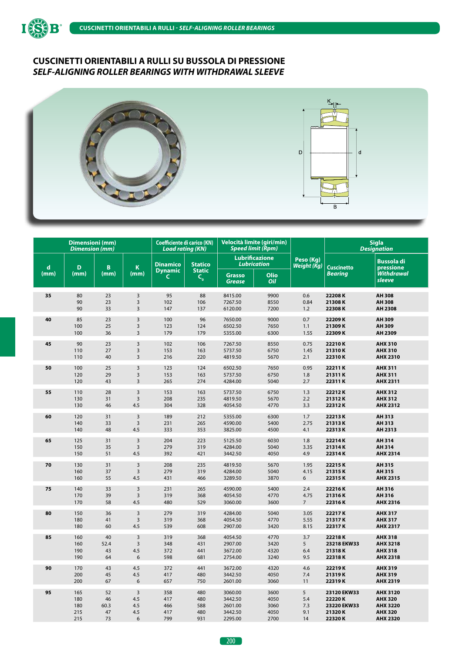



|             | <b>Dimensioni</b> (mm)<br><b>Dimension</b> (mm) |      |                | <b>Coefficiente di carico (KN)</b><br>Load rating (KN) |                          | Velocità limite (giri/min)<br><b>Speed limit (Rpm)</b> |                                             |                          | <b>Sigla</b><br><b>Designation</b> |                                |
|-------------|-------------------------------------------------|------|----------------|--------------------------------------------------------|--------------------------|--------------------------------------------------------|---------------------------------------------|--------------------------|------------------------------------|--------------------------------|
| $\mathbf d$ | D                                               | B    | K              | <b>Dinamico</b>                                        | <b>Statico</b>           |                                                        | <b>Lubrificazione</b><br><b>Lubrication</b> | Peso (Kg)<br>Weight (Kg) | <b>Cuscinetto</b>                  | <b>Bussola di</b><br>pressione |
| (mm)        | (mm)                                            | (mm) | (mm)           | <b>Dynamic</b><br>$\mathsf{C}$                         | <b>Static</b><br>$C_{o}$ | <b>Grasso</b><br><b>Grease</b>                         | Olio<br>Oil                                 |                          | <b>Bearing</b>                     | <b>Withdrawal</b><br>sleeve    |
| 35          | 80                                              | 23   | 3              | 95                                                     | 88                       | 8415.00                                                | 9900                                        | 0.6                      | 22208K                             | <b>AH 308</b>                  |
|             | 90                                              | 23   | 3              | 102                                                    | 106                      | 7267.50                                                | 8550                                        | 0.84                     | 21308K                             | <b>AH308</b>                   |
|             | 90                                              | 33   | 3              | 147                                                    | 137                      | 6120.00                                                | 7200                                        | 1.2                      | 22308K                             | AH 2308                        |
| 40          | 85                                              | 23   | 3              | 100                                                    | 96                       | 7650.00                                                | 9000                                        | 0.7                      | 22209K                             | AH 309                         |
|             | 100                                             | 25   | 3              | 123                                                    | 124                      | 6502.50                                                | 7650                                        | 1.1                      | 21309K                             | AH 309                         |
|             | 100                                             | 36   | 3              | 179                                                    | 179                      | 5355.00                                                | 6300                                        | 1.55                     | 22309K                             | AH 2309                        |
| 45          | 90                                              | 23   | 3              | 102                                                    | 106                      | 7267.50                                                | 8550                                        | 0.75                     | 22210K                             | <b>AHX 310</b>                 |
|             | 110                                             | 27   | 3              | 153                                                    | 163                      | 5737.50                                                | 6750                                        | 1.45                     | 21310K                             | <b>AHX 310</b>                 |
|             | 110                                             | 40   | $\overline{3}$ | 216                                                    | 220                      | 4819.50                                                | 5670                                        | 2.1                      | 22310K                             | <b>AHX 2310</b>                |
| 50          | 100                                             | 25   | 3              | 123                                                    | 124                      | 6502.50                                                | 7650                                        | 0.95                     | 22211K                             | <b>AHX 311</b>                 |
|             | 120                                             | 29   | 3              | 153                                                    | 163                      | 5737.50                                                | 6750                                        | 1.8                      | 21311K                             | <b>AHX 311</b>                 |
|             | 120                                             | 43   | $\overline{3}$ | 265                                                    | 274                      | 4284.00                                                | 5040                                        | 2.7                      | 22311K                             | AHX 2311                       |
| 55          | 110                                             | 28   | 3              | 153                                                    | 163                      | 5737.50                                                | 6750                                        | 1.3                      | 22212K                             | <b>AHX 312</b>                 |
|             | 130                                             | 31   | 3              | 208                                                    | 235                      | 4819.50                                                | 5670                                        | 2.2                      | 21312K                             | <b>AHX 312</b>                 |
|             | 130                                             | 46   | 4.5            | 304                                                    | 328                      | 4054.50                                                | 4770                                        | 3.3                      | 22312K                             | <b>AHX 2312</b>                |
| 60          | 120                                             | 31   | $\mathsf 3$    | 189                                                    | 212                      | 5355.00                                                | 6300                                        | 1.7                      | 22213K                             | AH 313                         |
|             | 140                                             | 33   | 3              | 231                                                    | 265                      | 4590.00                                                | 5400                                        | 2.75                     | 21313K                             | AH 313                         |
|             | 140                                             | 48   | 4.5            | 333                                                    | 353                      | 3825.00                                                | 4500                                        | 4.1                      | 22313K                             | AH 2313                        |
| 65          | 125                                             | 31   | 3              | 204                                                    | 223                      | 5125.50                                                | 6030                                        | 1.8                      | 22214K                             | AH 314                         |
|             | 150                                             | 35   | $\mathsf 3$    | 279                                                    | 319                      | 4284.00                                                | 5040                                        | 3.35                     | 21314K                             | AH 314                         |
|             | 150                                             | 51   | 4.5            | 392                                                    | 421                      | 3442.50                                                | 4050                                        | 4.9                      | 22314K                             | AHX 2314                       |
| 70          | 130                                             | 31   | 3              | 208                                                    | 235                      | 4819.50                                                | 5670                                        | 1.95                     | 22215K                             | AH 315                         |
|             | 160                                             | 37   | 3              | 279                                                    | 319                      | 4284.00                                                | 5040                                        | 4.15                     | 21315K                             | AH 315                         |
|             | 160                                             | 55   | 4.5            | 431                                                    | 466                      | 3289.50                                                | 3870                                        | 6                        | 22315K                             | <b>AHX 2315</b>                |
| 75          | 140                                             | 33   | $\mathsf 3$    | 231                                                    | 265                      | 4590.00                                                | 5400                                        | 2.4                      | 22216K                             | AH 316                         |
|             | 170                                             | 39   | 3              | 319                                                    | 368                      | 4054.50                                                | 4770                                        | 4.75                     | 21316K                             | AH 316                         |
|             | 170                                             | 58   | 4.5            | 480                                                    | 529                      | 3060.00                                                | 3600                                        | $\overline{7}$           | 22316K                             | AHX 2316                       |
| 80          | 150                                             | 36   | 3              | 279                                                    | 319                      | 4284.00                                                | 5040                                        | 3.05                     | 22217K                             | <b>AHX 317</b>                 |
|             | 180                                             | 41   | 3              | 319                                                    | 368                      | 4054.50                                                | 4770                                        | 5.55                     | 21317K                             | <b>AHX 317</b>                 |
|             | 180                                             | 60   | 4.5            | 539                                                    | 608                      | 2907.00                                                | 3420                                        | 8.15                     | 22317K                             | AHX 2317                       |
| 85          | 160                                             | 40   | 3              | 319                                                    | 368                      | 4054.50                                                | 4770                                        | 3.7                      | 22218K                             | <b>AHX 318</b>                 |
|             | 160                                             | 52.4 | 3              | 348                                                    | 431                      | 2907.00                                                | 3420                                        | 5                        | 23218 EKW33                        | <b>AHX 3218</b>                |
|             | 190                                             | 43   | 4.5            | 372                                                    | 441                      | 3672.00                                                | 4320                                        | 6.4                      | 21318K                             | <b>AHX 318</b>                 |
|             | 190                                             | 64   | 6              | 598                                                    | 681                      | 2754.00                                                | 3240                                        | 9.5                      | 22318K                             | <b>AHX 2318</b>                |
| 90          | 170                                             | 43   | 4.5            | 372                                                    | 441                      | 3672.00                                                | 4320                                        | 4.6                      | 22219K                             | <b>AHX 319</b>                 |
|             | 200                                             | 45   | 4.5            | 417                                                    | 480                      | 3442.50                                                | 4050                                        | 7.4                      | 21319K                             | <b>AHX 319</b>                 |
|             | 200                                             | 67   | 6              | 657                                                    | 750                      | 2601.00                                                | 3060                                        | 11                       | 22319K                             | <b>AHX 2319</b>                |
| 95          | 165                                             | 52   | $\overline{3}$ | 358                                                    | 480                      | 3060.00                                                | 3600                                        | 5                        | 23120 EKW33                        | <b>AHX 3120</b>                |
|             | 180                                             | 46   | 4.5            | 417                                                    | 480                      | 3442.50                                                | 4050                                        | 5.4                      | 22220K                             | <b>AHX 320</b>                 |
|             | 180                                             | 60.3 | 4.5            | 466                                                    | 588                      | 2601.00                                                | 3060                                        | 7.3                      | 23220 EKW33                        | <b>AHX 3220</b>                |
|             | 215                                             | 47   | 4.5            | 417                                                    | 480                      | 3442.50                                                | 4050                                        | 9.1                      | 21320K                             | <b>AHX 320</b>                 |
|             | 215                                             | 73   | 6              | 799                                                    | 931                      | 2295.00                                                | 2700                                        | 14                       | 22320K                             | <b>AHX 2320</b>                |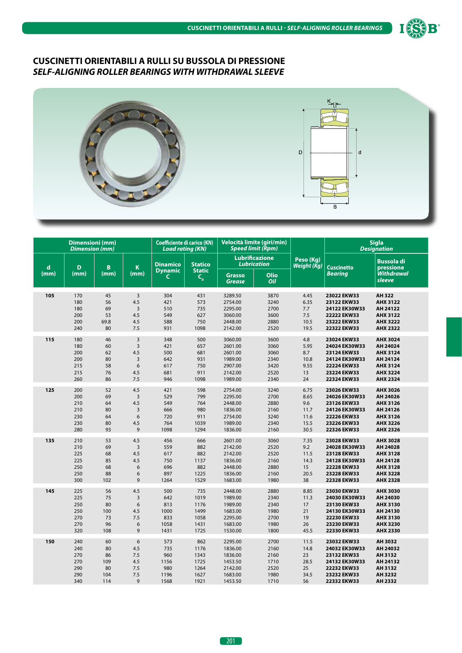



|             | <b>Dimensioni</b> (mm)<br><b>Dimension</b> (mm) |      |                | <b>Coefficiente di carico (KN)</b><br><b>Load rating (KN)</b> |                                 | Velocità limite (giri/min)<br><b>Speed limit (Rpm)</b> |                       |                                 |                    | <b>Sigla</b><br><b>Designation</b> |
|-------------|-------------------------------------------------|------|----------------|---------------------------------------------------------------|---------------------------------|--------------------------------------------------------|-----------------------|---------------------------------|--------------------|------------------------------------|
| $\mathbf d$ | D                                               | B    | K              | <b>Dinamico</b><br><b>Dynamic</b>                             | <b>Statico</b><br><b>Static</b> | Lubrication                                            | <b>Lubrificazione</b> | Peso (Kg)<br><b>Weight (Kg)</b> | <b>Cuscinetto</b>  | <b>Bussola di</b><br>pressione     |
| (mm)        | (mm)                                            | (mm) | (mm)           | C.                                                            | $\mathsf{C}_{_{\mathbf{0}}}$    | <b>Grasso</b><br><b>Grease</b>                         | Olio<br>Oil           |                                 | <b>Bearing</b>     | <b>Withdrawal</b><br>sleeve        |
| 105         | 170                                             | 45   | $\overline{3}$ | 304                                                           | 431                             | 3289.50                                                | 3870                  | 4.45                            | 23022 EKW33        | AH 322                             |
|             | 180                                             | 56   | 4.5            | 421                                                           | 573                             | 2754.00                                                | 3240                  | 6.35                            | 23122 EKW33        | <b>AHX 3122</b>                    |
|             | 180                                             | 69   | $\overline{3}$ | 510                                                           | 735                             | 2295.00                                                | 2700                  | 7.7                             | 24122 EK30W33      | AH 24122                           |
|             | 200                                             | 53   | 4.5            | 549                                                           | 627                             | 3060.00                                                | 3600                  | 7.5                             | 22222 EKW33        | <b>AHX 3122</b>                    |
|             | 200                                             | 69.8 | 4.5            | 588                                                           | 750                             | 2448.00                                                | 2880                  | 10.5                            | 23222 EKW33        | <b>AHX 3222</b>                    |
|             | 240                                             | 80   | 7.5            | 931                                                           | 1098                            | 2142.00                                                | 2520                  | 19.5                            | 22322 EKW33        | <b>AHX 2322</b>                    |
| 115         | 180                                             | 46   | 3              | 348                                                           | 500                             | 3060.00                                                | 3600                  | 4.8                             | 23024 EKW33        | AHX 3024                           |
|             | 180                                             | 60   | $\overline{3}$ | 421                                                           | 657                             | 2601.00                                                | 3060                  | 5.95                            | 24024 EK30W33      | AH 24024                           |
|             | 200                                             | 62   | 4.5            | 500                                                           | 681                             | 2601.00                                                | 3060                  | 8.7                             | 23124 EKW33        | <b>AHX 3124</b>                    |
|             | 200                                             | 80   | $\overline{3}$ | 642                                                           | 931                             | 1989.00                                                | 2340                  | 10.8                            | 24124 EK30W33      | AH 24124                           |
|             | 215                                             | 58   | 6              | 617                                                           | 750                             | 2907.00                                                | 3420                  | 9.55                            | 22224 EKW33        | <b>AHX 3124</b>                    |
|             | 215                                             | 76   | 4.5            | 681                                                           | 911                             | 2142.00                                                | 2520                  | 13                              | 23224 EKW33        | <b>AHX 3224</b>                    |
|             | 260                                             | 86   | 7.5            | 946                                                           | 1098                            | 1989.00                                                | 2340                  | 24                              | 22324 EKW33        | <b>AHX 2324</b>                    |
| 125         | 200                                             | 52   | 4.5            | 421                                                           | 598                             | 2754.00                                                | 3240                  | 6.75                            | 23026 EKW33        | AHX 3026                           |
|             | 200                                             | 69   | $\overline{3}$ | 529                                                           | 799                             | 2295.00                                                | 2700                  | 8.65                            | 24026 EK30W33      | AH 24026                           |
|             | 210                                             | 64   | 4.5            | 549                                                           | 764                             | 2448.00                                                | 2880                  | 9.6                             | 23126 EKW33        | AHX 3126                           |
|             | 210                                             | 80   | $\overline{3}$ | 666                                                           | 980                             | 1836.00                                                | 2160                  | 11.7                            | 24126 EK30W33      | AH 24126                           |
|             | 230                                             | 64   | 6              | 720                                                           | 911                             | 2754.00                                                | 3240                  | 11.6                            | 22226 EKW33        | AHX 3126                           |
|             | 230                                             | 80   | 4.5            | 764                                                           | 1039                            | 1989.00                                                | 2340                  | 15.5                            | 23226 EKW33        | <b>AHX 3226</b>                    |
|             | 280                                             | 93   | 9              | 1098                                                          | 1294                            | 1836.00                                                | 2160                  | 30.5                            | 22326 EKW33        | AHX 2326                           |
| 135         | 210                                             | 53   | 4.5            | 456                                                           | 666                             | 2601.00                                                | 3060                  | 7.35                            | 23028 EKW33        | <b>AHX 3028</b>                    |
|             | 210                                             | 69   | $\overline{3}$ | 559                                                           | 882                             | 2142.00                                                | 2520                  | 9.2                             | 24028 EK30W33      | AH 24028                           |
|             | 225                                             | 68   | 4.5            | 617                                                           | 882                             | 2142.00                                                | 2520                  | 11.5                            | 23128 EKW33        | <b>AHX 3128</b>                    |
|             | 225                                             | 85   | 4.5            | 750                                                           | 1137                            | 1836.00                                                | 2160                  | 14.3                            | 24128 EK30W33      | AH 24128                           |
|             | 250                                             | 68   | 6              | 696                                                           | 882                             | 2448.00                                                | 2880                  | 15                              | 22228 EKW33        | <b>AHX 3128</b>                    |
|             | 250                                             | 88   | 6              | 897                                                           | 1225                            | 1836.00                                                | 2160                  | 20.5                            | 23228 EKW33        | <b>AHX 3228</b>                    |
|             | 300                                             | 102  | 9              | 1264                                                          | 1529                            | 1683.00                                                | 1980                  | 38                              | <b>22328 EKW33</b> | <b>AHX 2328</b>                    |
| 145         | 225                                             | 56   | 4.5            | 500                                                           | 735                             | 2448.00                                                | 2880                  | 8.85                            | 23030 EKW33        | <b>AHX 3030</b>                    |
|             | 225                                             | 75   | $\overline{3}$ | 642                                                           | 1019                            | 1989.00                                                | 2340                  | 11.3                            | 24030 EK30W33      | AH 24030                           |
|             | 250                                             | 80   | 6              | 813                                                           | 1176                            | 1989.00                                                | 2340                  | 17                              | 23130 EKW33        | <b>AHX 3130</b>                    |
|             | 250                                             | 100  | 4.5            | 1000                                                          | 1499                            | 1683.00                                                | 1980                  | 21                              | 24130 EK30W33      | AH 24130                           |
|             | 270                                             | 73   | 7.5            | 833                                                           | 1058                            | 2295.00                                                | 2700                  | 19                              | <b>22230 EKW33</b> | <b>AHX 3130</b>                    |
|             | 270                                             | 96   | 6              | 1058                                                          | 1431                            | 1683.00                                                | 1980                  | 26                              | 23230 EKW33        | <b>AHX 3230</b>                    |
|             | 320                                             | 108  | 9              | 1431                                                          | 1725                            | 1530.00                                                | 1800                  | 45.5                            | 22330 EKW33        | <b>AHX 2330</b>                    |
| 150         | 240                                             | 60   | 6              | 573                                                           | 862                             | 2295.00                                                | 2700                  | 11.5                            | 23032 EKW33        | AH 3032                            |
|             | 240                                             | 80   | 4.5            | 735                                                           | 1176                            | 1836.00                                                | 2160                  | 14.8                            | 24032 EK30W33      | AH 24032                           |
|             | 270                                             | 86   | 7.5            | 960                                                           | 1343                            | 1836.00                                                | 2160                  | 23                              | 23132 EKW33        | AH 3132                            |
|             | 270                                             | 109  | 4.5            | 1156                                                          | 1725                            | 1453.50                                                | 1710                  | 28.5                            | 24132 EK30W33      | AH 24132                           |
|             | 290                                             | 80   | 7.5            | 980                                                           | 1264                            | 2142.00                                                | 2520                  | 25                              | 22232 EKW33        | AH 3132                            |
|             | 290                                             | 104  | 7.5            | 1196                                                          | 1627                            | 1683.00                                                | 1980                  | 34.5                            | 23232 EKW33        | AH 3232                            |
|             | 340                                             | 114  | 9              | 1568                                                          | 1921                            | 1453.50                                                | 1710                  | 56                              | 22332 EKW33        | AH 2332                            |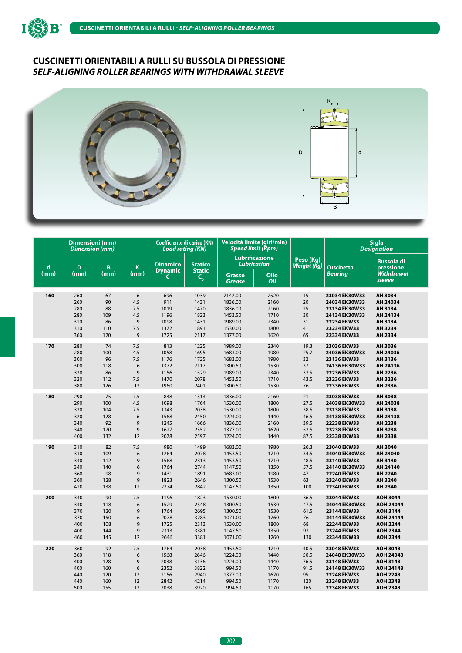



|             | <b>Dimensioni</b> (mm)<br><b>Dimension</b> (mm) |      |                  | <b>Coefficiente di carico (KN)</b><br><b>Load rating (KN)</b> |                          | Velocità limite (giri/min)<br><b>Speed limit (Rpm)</b> |                       |                          |                   | <b>Sigla</b><br><b>Designation</b> |
|-------------|-------------------------------------------------|------|------------------|---------------------------------------------------------------|--------------------------|--------------------------------------------------------|-----------------------|--------------------------|-------------------|------------------------------------|
| $\mathbf d$ | D                                               | B    | $\mathbf K$      | <b>Dinamico</b>                                               | <b>Statico</b>           | <b>Lubrication</b>                                     | <b>Lubrificazione</b> | Peso (Kg)<br>Weight (Kg) | <b>Cuscinetto</b> | <b>Bussola di</b><br>pressione     |
| (mm)        | (mm)                                            | (mm) | (mm)             | <b>Dynamic</b><br>C                                           | <b>Static</b><br>$C_{o}$ | Grasso<br><b>Grease</b>                                | <b>Olio</b><br>Oil    |                          | Bearing           | .<br>Withdrawal<br>sleeve          |
| 160         | 260                                             | 67   | 6                | 696                                                           | 1039                     | 2142.00                                                | 2520                  | 15                       | 23034 EK30W33     | AH 3034                            |
|             | 260                                             | 90   | 4.5              | 911                                                           | 1431                     | 1836.00                                                | 2160                  | 20                       | 24034 EK30W33     | AH 24034                           |
|             | 280                                             | 88   | 7.5              | 1019                                                          | 1470                     | 1836.00                                                | 2160                  | 25                       | 23134 EK30W33     | AH 3134                            |
|             | 280                                             | 109  | 4.5              | 1196                                                          | 1823                     | 1453.50                                                | 1710                  | 30                       | 24134 EK30W33     | AH 24134                           |
|             | 310                                             | 86   | 9                | 1098                                                          | 1431                     | 1989.00                                                | 2340                  | 31                       | 22234 EKW33       | AH 3134                            |
|             | 310                                             | 110  | 7.5              | 1372                                                          | 1891                     | 1530.00                                                | 1800                  | 41                       | 23234 EKW33       | AH 3234                            |
|             | 360                                             | 120  | 9                | 1725                                                          | 2117                     | 1377.00                                                | 1620                  | 65                       | 22334 EKW33       | AH 2334                            |
| 170         | 280                                             | 74   | 7.5              | 813                                                           | 1225                     | 1989.00                                                | 2340                  | 19.3                     | 23036 EKW33       | AH 3036                            |
|             | 280                                             | 100  | 4.5              | 1058                                                          | 1695                     | 1683.00                                                | 1980                  | 25.7                     | 24036 EK30W33     | AH 24036                           |
|             | 300                                             | 96   | 7.5              | 1176                                                          | 1725                     | 1683.00                                                | 1980                  | 32                       | 23136 EKW33       | AH 3136                            |
|             | 300                                             | 118  | 6                | 1372                                                          | 2117                     | 1300.50                                                | 1530                  | 37                       | 24136 EK30W33     | AH 24136                           |
|             | 320                                             | 86   | $\mathsf 9$      | 1156                                                          | 1529                     | 1989.00                                                | 2340                  | 32.5                     | 22236 EKW33       | AH 2236                            |
|             | 320                                             | 112  | 7.5              | 1470                                                          | 2078                     | 1453.50                                                | 1710                  | 43.5                     | 23236 EKW33       | AH 3236                            |
|             | 380                                             | 126  | 12               | 1960                                                          | 2401                     | 1300.50                                                | 1530                  | 76                       | 22336 EKW33       | AH 2336                            |
| 180         | 290                                             | 75   | 7.5              | 848                                                           | 1313                     | 1836.00                                                | 2160                  | 21                       | 23038 EKW33       | AH 3038                            |
|             | 290                                             | 100  | 4.5              | 1098                                                          | 1764                     | 1530.00                                                | 1800                  | 27.5                     | 24038 EK30W33     | AH 24038                           |
|             | 320                                             | 104  | 7.5              | 1343                                                          | 2038                     | 1530.00                                                | 1800                  | 38.5                     | 23138 EKW33       | AH 3138                            |
|             | 320                                             | 128  | 6                | 1568                                                          | 2450                     | 1224.00                                                | 1440                  | 46.5                     | 24138 EK30W33     | AH 24138                           |
|             | 340                                             | 92   | 9                | 1245                                                          | 1666                     | 1836.00                                                | 2160                  | 39.5                     | 22238 EKW33       | AH 2238                            |
|             | 340                                             | 120  | $\mathsf 9$      | 1627                                                          | 2352                     | 1377.00                                                | 1620                  | 52.5                     | 23238 EKW33       | AH 3238                            |
|             | 400                                             | 132  | 12               | 2078                                                          | 2597                     | 1224.00                                                | 1440                  | 87.5                     | 22338 EKW33       | AH 2338                            |
| 190         | 310                                             | 82   | 7.5              | 980                                                           | 1499                     | 1683.00                                                | 1980                  | 26.3                     | 23040 EKW33       | AH 3040                            |
|             | 310                                             | 109  | 6                | 1264                                                          | 2078                     | 1453.50                                                | 1710                  | 34.5                     | 24040 EK30W33     | AH 24040                           |
|             | 340                                             | 112  | 9                | 1568                                                          | 2313                     | 1453.50                                                | 1710                  | 48.5                     | 23140 EKW33       | AH 3140                            |
|             | 340                                             | 140  | 6                | 1764                                                          | 2744                     | 1147.50                                                | 1350                  | 57.5                     | 24140 EK30W33     | AH 24140                           |
|             | 360                                             | 98   | 9                | 1431                                                          | 1891                     | 1683.00                                                | 1980                  | 47                       | 22240 EKW33       | AH 2240                            |
|             | 360                                             | 128  | 9                | 1823                                                          | 2646                     | 1300.50                                                | 1530                  | 63                       | 23240 EKW33       | AH 3240                            |
|             | 420                                             | 138  | 12               | 2274                                                          | 2842                     | 1147.50                                                | 1350                  | 100                      | 22340 EKW33       | AH 2340                            |
| 200         | 340                                             | 90   | 7.5              | 1196                                                          | 1823                     | 1530.00                                                | 1800                  | 36.5                     | 23044 EKW33       | <b>AOH 3044</b>                    |
|             | 340                                             | 118  | 6                | 1529                                                          | 2548                     | 1300.50                                                | 1530                  | 47.5                     | 24044 EK30W33     | AOH 24044                          |
|             | 370                                             | 120  | 9                | 1764                                                          | 2695                     | 1300.50                                                | 1530                  | 61.5                     | 23144 EKW33       | <b>AOH 3144</b>                    |
|             | 370                                             | 150  | 6                | 2078                                                          | 3283                     | 1071.00                                                | 1260                  | 76                       | 24144 EK30W33     | AOH 24144                          |
|             | 400                                             | 108  | 9                | 1725                                                          | 2313                     | 1530.00                                                | 1800                  | 68                       | 22244 EKW33       | <b>AOH 2244</b>                    |
|             | 400                                             | 144  | 9                | 2313                                                          | 3381                     | 1147.50                                                | 1350                  | 93                       | 23244 EKW33       | <b>AOH 2344</b>                    |
|             | 460                                             | 145  | 12               | 2646                                                          | 3381                     | 1071.00                                                | 1260                  | 130                      | 22344 EKW33       | <b>AOH 2344</b>                    |
| 220         | 360                                             | 92   | 7.5              | 1264                                                          | 2038                     | 1453.50                                                | 1710                  | 40.5                     | 23048 EKW33       | <b>AOH 3048</b>                    |
|             | 360                                             | 118  | 6                | 1568                                                          | 2646                     | 1224.00                                                | 1440                  | 50.5                     | 24048 EK30W33     | <b>AOH 24048</b>                   |
|             | 400                                             | 128  | 9                | 2038                                                          | 3136                     | 1224.00                                                | 1440                  | 76.5                     | 23148 EKW33       | <b>AOH 3148</b>                    |
|             | 400                                             | 160  | $\boldsymbol{6}$ | 2352                                                          | 3822                     | 994.50                                                 | 1170                  | 91.5                     | 24148 EK30W33     | <b>AOH 24148</b>                   |
|             | 440                                             | 120  | 12               | 2156                                                          | 2940                     | 1377.00                                                | 1620                  | 95                       | 22248 EKW33       | <b>AOH 2248</b>                    |
|             | 440                                             | 160  | 12               | 2842                                                          | 4214                     | 994.50                                                 | 1170                  | 120                      | 23248 EKW33       | <b>AOH 2348</b>                    |
|             | 500                                             | 155  | 12               | 3038                                                          | 3920                     | 994.50                                                 | 1170                  | 165                      | 22348 EKW33       | <b>AOH 2348</b>                    |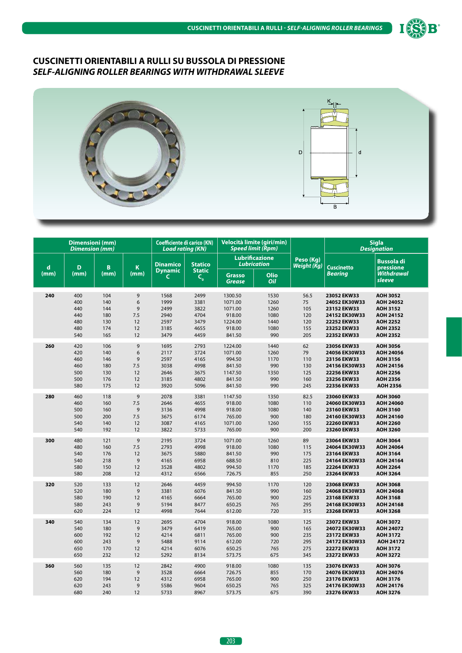



|      | Dimensioni (mm)<br><b>Dimension (mm)</b> |      |                | <b>Coefficiente di carico (KN)</b><br><b>Load rating (KN)</b> |                                 |                                | Velocità limite (giri/min)<br><b>Speed limit (Rpm)</b> |                          |                      | <b>Sigla</b><br><b>Designation</b> |
|------|------------------------------------------|------|----------------|---------------------------------------------------------------|---------------------------------|--------------------------------|--------------------------------------------------------|--------------------------|----------------------|------------------------------------|
| d    | D                                        | B    | $\mathbf K$    | <b>Dinamico</b><br><b>Dynamic</b>                             | <b>Statico</b><br><b>Static</b> |                                | <b>Lubrificazione</b><br><b>Lubrication</b>            | Peso (Kg)<br>Weight (Kg) | <b>Cuscinetto</b>    | <b>Bussola di</b><br>pressione     |
| (mm) | (mm)                                     | (mm) | (mm)           | C                                                             | $C_{o}$                         | <b>Grasso</b><br><b>Grease</b> | Olio<br>Oil                                            |                          | <b>Bearing</b>       | <b>Withdrawal</b><br>sleeve        |
| 240  | 400                                      | 104  | 9              | 1568                                                          | 2499                            | 1300.50                        | 1530                                                   | 56.5                     | 23052 EKW33          | <b>AOH 3052</b>                    |
|      | 400                                      | 140  | 6              | 1999                                                          | 3381                            | 1071.00                        | 1260                                                   | 75                       | 24052 EK30W33        | <b>AOH 24052</b>                   |
|      | 440                                      | 144  | 9              | 2499                                                          | 3822                            | 1071.00                        | 1260                                                   | 105                      | 23152 EKW33          | <b>AOH 3152</b>                    |
|      | 440                                      | 180  | 7.5            | 2940                                                          | 4704                            | 918.00                         | 1080                                                   | 120                      | 24152 EK30W33        | AOH 24152                          |
|      | 480                                      | 130  | 12             | 2597                                                          | 3479                            | 1224.00                        | 1440                                                   | 120                      | 22252 EKW33          | <b>AOH 2252</b>                    |
|      | 480                                      | 174  | 12             | 3185                                                          | 4655                            | 918.00                         | 1080                                                   | 155                      | 23252 EKW33          | <b>AOH 2352</b>                    |
|      | 540                                      | 165  | 12             | 3479                                                          | 4459                            | 841.50                         | 990                                                    | 205                      | 22352 EKW33          | <b>AOH 2352</b>                    |
| 260  | 420                                      | 106  | 9              | 1695                                                          | 2793                            | 1224.00                        | 1440                                                   | 62                       | 23056 EKW33          | <b>AOH 3056</b>                    |
|      | 420                                      | 140  | 6              | 2117                                                          | 3724                            | 1071.00                        | 1260                                                   | 79                       | 24056 EK30W33        | AOH 24056                          |
|      | 460                                      | 146  | $\mathsf g$    | 2597                                                          | 4165                            | 994.50                         | 1170                                                   | 110                      | 23156 EKW33          | AOH 3156                           |
|      | 460                                      | 180  | 7.5            | 3038                                                          | 4998                            | 841.50                         | 990                                                    | 130                      | 24156 EK30W33        | AOH 24156                          |
|      | 500                                      | 130  | 12             | 2646                                                          | 3675                            | 1147.50                        | 1350                                                   | 125                      | 22256 EKW33          | <b>AOH 2256</b>                    |
|      | 500                                      | 176  | 12             | 3185                                                          | 4802                            | 841.50                         | 990                                                    | 160                      | 23256 EKW33          | <b>AOH 2356</b>                    |
|      | 580                                      | 175  | 12             | 3920                                                          | 5096                            | 841.50                         | 990                                                    | 245                      | 22356 EKW33          | <b>AOH 2356</b>                    |
| 280  | 460                                      | 118  | 9              | 2078                                                          | 3381                            | 1147.50                        | 1350                                                   | 82.5                     | 23060 EKW33          | <b>AOH 3060</b>                    |
|      | 460                                      | 160  | 7.5            | 2646                                                          | 4655                            | 918.00                         | 1080                                                   | 110                      | 24060 EK30W33        | AOH 24060                          |
|      | 500                                      | 160  | $\mathsf 9$    | 3136                                                          | 4998                            | 918.00                         | 1080                                                   | 140                      | 23160 EKW33          | <b>AOH 3160</b>                    |
|      | 500                                      | 200  | 7.5            | 3675                                                          | 6174                            | 765.00                         | 900                                                    | 180                      | 24160 EK30W33        | AOH 24160                          |
|      | 540                                      | 140  | 12             | 3087                                                          | 4165                            | 1071.00                        | 1260                                                   | 155                      | 22260 EKW33          | <b>AOH 2260</b>                    |
|      | 540                                      | 192  | 12             | 3822                                                          | 5733                            | 765.00                         | 900                                                    | 200                      | 23260 EKW33          | <b>AOH 3260</b>                    |
| 300  | 480                                      | 121  | 9              | 2195                                                          | 3724                            | 1071.00                        | 1260                                                   | 89                       | 23064 EKW33          | <b>AOH 3064</b>                    |
|      | 480                                      | 160  | 7.5            | 2793                                                          | 4998                            | 918.00                         | 1080                                                   | 115                      | 24064 EK30W33        | AOH 24064                          |
|      | 540                                      | 176  | 12             | 3675                                                          | 5880                            | 841.50                         | 990                                                    | 175                      | 23164 EKW33          | <b>AOH 3164</b>                    |
|      | 540                                      | 218  | 9              | 4165                                                          | 6958                            | 688.50                         | 810                                                    | 225                      | 24164 EK30W33        | AOH 24164                          |
|      | 580                                      | 150  | 12             | 3528                                                          | 4802                            | 994.50                         | 1170                                                   | 185                      | 22264 EKW33          | <b>AOH 2264</b>                    |
|      | 580                                      | 208  | 12             | 4312                                                          | 6566                            | 726.75                         | 855                                                    | 250                      | 23264 EKW33          | <b>AOH 3264</b>                    |
| 320  | 520                                      | 133  | 12             | 2646                                                          | 4459                            | 994.50                         | 1170                                                   | 120                      | 23068 EKW33          | <b>AOH 3068</b>                    |
|      | 520                                      | 180  | 9              | 3381                                                          | 6076                            | 841.50                         | 990                                                    | 160                      | 24068 EK30W33        | <b>AOH 24068</b>                   |
|      | 580                                      | 190  | 12             | 4165                                                          | 6664                            | 765.00                         | 900                                                    | 225                      | 23168 EKW33          | <b>AOH 3168</b>                    |
|      | 580                                      | 243  | 9              | 5194                                                          | 8477                            | 650.25                         | 765                                                    | 295                      | 24168 EK30W33        | AOH 24168                          |
|      | 620                                      | 224  | 12             | 4998                                                          | 7644                            | 612.00                         | 720                                                    | 315                      | 23268 EKW33          | <b>AOH 3268</b>                    |
| 340  | 540                                      | 134  | 12             | 2695                                                          | 4704                            | 918.00                         | 1080                                                   | 125                      | 23072 EKW33          | <b>AOH 3072</b>                    |
|      | 540                                      | 180  | 9              | 3479                                                          | 6419                            | 765.00                         | 900                                                    | 165                      | 24072 EK30W33        | AOH 24072                          |
|      | 600                                      | 192  | 12             | 4214                                                          | 6811                            | 765.00                         | 900                                                    | 235                      | 23172 EKW33          | <b>AOH 3172</b>                    |
|      | 600                                      | 243  | $\overline{9}$ | 5488                                                          | 9114                            | 612.00                         | 720                                                    | 295                      | 24172 EK30W33        | AOH 24172                          |
|      | 650                                      | 170  | 12             | 4214                                                          | 6076                            | 650.25                         | 765                                                    | 275                      | 22272 EKW33          | <b>AOH 3172</b>                    |
|      | 650                                      | 232  | 12             | 5292                                                          | 8134                            | 573.75                         | 675                                                    | 345                      | 23272 EKW33          | <b>AOH 3272</b>                    |
| 360  | 560                                      | 135  | 12             | 2842                                                          | 4900                            | 918.00                         | 1080                                                   | 135                      | 23076 EKW33          | <b>AOH 3076</b>                    |
|      | 560                                      | 180  | 9              | 3528                                                          | 6664                            | 726.75                         | 855                                                    | 170                      | 24076 EK30W33        | AOH 24076                          |
|      | 620                                      | 194  | 12             | 4312                                                          | 6958                            | 765.00                         | 900                                                    | 250                      | 23176 EKW33          | <b>AOH 3176</b>                    |
|      | 620                                      | 243  | 9              | 5586                                                          | 9604                            | 650.25                         | 765                                                    | 325                      | <b>24176 EK30W33</b> | AOH 24176                          |
|      | 680                                      | 240  | 12             | 5733                                                          | 8967                            | 573.75                         | 675                                                    | 390                      | 23276 EKW33          | <b>AOH 3276</b>                    |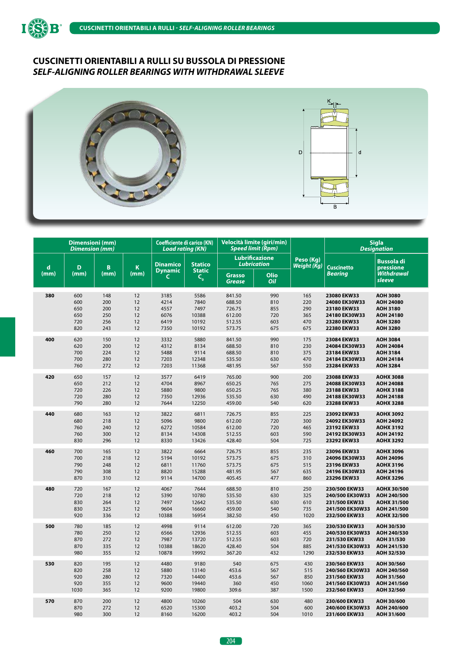



|             | <b>Dimensioni</b> (mm)<br><b>Dimension</b> (mm) |      |      | <b>Coefficiente di carico (KN)</b><br><b>Load rating (KN)</b> |                          |                                | Velocità limite (giri/min)<br><b>Speed limit (Rpm)</b> |                          |                   | <b>Sigla</b><br><b>Designation</b> |
|-------------|-------------------------------------------------|------|------|---------------------------------------------------------------|--------------------------|--------------------------------|--------------------------------------------------------|--------------------------|-------------------|------------------------------------|
| $\mathbf d$ | D                                               | B    | K    | <b>Dinamico</b>                                               | <b>Statico</b>           |                                | <b>Lubrificazione</b><br><b>Lubrication</b>            | Peso (Kg)<br>Weight (Kg) | <b>Cuscinetto</b> | <b>Bussola di</b><br>pressione     |
| (mm)        | (mm)                                            | (mm) | (mm) | <b>Dynamic</b><br>$\mathsf{C}$                                | <b>Static</b><br>$C_{o}$ | <b>Grasso</b><br><b>Grease</b> | Olio<br>Oil                                            |                          | <b>Bearing</b>    | <b>Withdrawal</b><br>sleeve        |
| 380         | 600                                             | 148  | 12   | 3185                                                          | 5586                     | 841.50                         | 990                                                    | 165                      | 23080 EKW33       | <b>AOH 3080</b>                    |
|             | 600                                             | 200  | 12   | 4214                                                          | 7840                     | 688.50                         | 810                                                    | 220                      | 24080 EK30W33     | AOH 24080                          |
|             | 650                                             | 200  | 12   | 4557                                                          | 7497                     | 726.75                         | 855                                                    | 290                      | 23180 EKW33       | <b>AOH 3180</b>                    |
|             | 650                                             | 250  | 12   | 6076                                                          | 10388                    | 612.00                         | 720                                                    | 365                      | 24180 EK30W33     | <b>AOH 24180</b>                   |
|             | 720                                             | 256  | 12   | 6419                                                          | 10192                    | 512.55                         | 603                                                    | 470                      | 23280 EKW33       | <b>AOH 3280</b>                    |
|             | 820                                             | 243  | 12   | 7350                                                          | 10192                    | 573.75                         | 675                                                    | 675                      | 22380 EKW33       | <b>AOH 3280</b>                    |
| 400         | 620                                             | 150  | 12   | 3332                                                          | 5880                     | 841.50                         | 990                                                    | 175                      | 23084 EKW33       | <b>AOH 3084</b>                    |
|             | 620                                             | 200  | 12   | 4312                                                          | 8134                     | 688.50                         | 810                                                    | 230                      | 24084 EK30W33     | <b>AOH 24084</b>                   |
|             | 700                                             | 224  | 12   | 5488                                                          | 9114                     | 688.50                         | 810                                                    | 375                      | 23184 EKW33       | <b>AOH 3184</b>                    |
|             | 700                                             | 280  | 12   | 7203                                                          | 12348                    | 535.50                         | 630                                                    | 470                      | 24184 EK30W33     | AOH 24184                          |
|             | 760                                             | 272  | 12   | 7203                                                          | 11368                    | 481.95                         | 567                                                    | 550                      | 23284 EKW33       | <b>AOH 3284</b>                    |
| 420         | 650                                             | 157  | 12   | 3577                                                          | 6419                     | 765.00                         | 900                                                    | 200                      | 23088 EKW33       | <b>AOHX 3088</b>                   |
|             | 650                                             | 212  | 12   | 4704                                                          | 8967                     | 650.25                         | 765                                                    | 275                      | 24088 EK30W33     | AOH 24088                          |
|             | 720                                             | 226  | 12   | 5880                                                          | 9800                     | 650.25                         | 765                                                    | 380                      | 23188 EKW33       | <b>AOHX 3188</b>                   |
|             | 720                                             | 280  | 12   | 7350                                                          | 12936                    | 535.50                         | 630                                                    | 490                      | 24188 EK30W33     | AOH 24188                          |
|             | 790                                             | 280  | 12   | 7644                                                          | 12250                    | 459.00                         | 540                                                    | 620                      | 23288 EKW33       | <b>AOHX 3288</b>                   |
| 440         | 680                                             | 163  | 12   | 3822                                                          | 6811                     | 726.75                         | 855                                                    | 225                      | 23092 EKW33       | <b>AOHX 3092</b>                   |
|             | 680                                             | 218  | 12   | 5096                                                          | 9800                     | 612.00                         | 720                                                    | 300                      | 24092 EK30W33     | AOH 24092                          |
|             | 760                                             | 240  | 12   | 6272                                                          | 10584                    | 612.00                         | 720                                                    | 465                      | 23192 EKW33       | <b>AOHX 3192</b>                   |
|             | 760                                             | 300  | 12   | 8134                                                          | 14308                    | 512.55                         | 603                                                    | 590                      | 24192 EK30W33     | AOH 24192                          |
|             | 830                                             | 296  | 12   | 8330                                                          | 13426                    | 428.40                         | 504                                                    | 725                      | 23292 EKW33       | <b>AOHX 3292</b>                   |
| 460         | 700                                             | 165  | 12   | 3822                                                          | 6664                     | 726.75                         | 855                                                    | 235                      | 23096 EKW33       | <b>AOHX 3096</b>                   |
|             | 700                                             | 218  | 12   | 5194                                                          | 10192                    | 573.75                         | 675                                                    | 310                      | 24096 EK30W33     | AOH 24096                          |
|             | 790                                             | 248  | 12   | 6811                                                          | 11760                    | 573.75                         | 675                                                    | 515                      | 23196 EKW33       | <b>AOHX 3196</b>                   |
|             | 790                                             | 308  | 12   | 8820                                                          | 15288                    | 481.95                         | 567                                                    | 635                      | 24196 EK30W33     | AOH 24196                          |
|             | 870                                             | 310  | 12   | 9114                                                          | 14700                    | 405.45                         | 477                                                    | 860                      | 23296 EKW33       | <b>AOHX 3296</b>                   |
| 480         | 720                                             | 167  | 12   | 4067                                                          | 7644                     | 688.50                         | 810                                                    | 250                      | 230/500 EKW33     | AOHX 30/500                        |
|             | 720                                             | 218  | 12   | 5390                                                          | 10780                    | 535.50                         | 630                                                    | 325                      | 240/500 EK30W33   | AOH 240/500                        |
|             | 830                                             | 264  | 12   | 7497                                                          | 12642                    | 535.50                         | 630                                                    | 610                      | 231/500 EKW33     | AOHX 31/500                        |
|             | 830                                             | 325  | 12   | 9604                                                          | 16660                    | 459.00                         | 540                                                    | 735                      | 241/500 EK30W33   | AOH 241/500                        |
|             | 920                                             | 336  | 12   | 10388                                                         | 16954                    | 382.50                         | 450                                                    | 1020                     | 232/500 EKW33     | AOHX 32/500                        |
| 500         | 780                                             | 185  | 12   | 4998                                                          | 9114                     | 612.00                         | 720                                                    | 365                      | 230/530 EKW33     | AOH 30/530                         |
|             | 780                                             | 250  | 12   | 6566                                                          | 12936                    | 512.55                         | 603                                                    | 455                      | 240/530 EK30W33   | AOH 240/530                        |
|             | 870                                             | 272  | 12   | 7987                                                          | 13720                    | 512.55                         | 603                                                    | 720                      | 231/530 EKW33     | AOH 31/530                         |
|             | 870                                             | 335  | 12   | 10388                                                         | 18620                    | 428.40                         | 504                                                    | 885                      | 241/530 EK30W33   | AOH 241/530                        |
|             | 980                                             | 355  | 12   | 10878                                                         | 19992                    | 367.20                         | 432                                                    | 1290                     | 232/530 EKW33     | AOH 32/530                         |
| 530         | 820                                             | 195  | 12   | 4480                                                          | 9180                     | 540                            | 675                                                    | 430                      | 230/560 EKW33     | AOH 30/560                         |
|             | 820                                             | 258  | 12   | 5880                                                          | 13140                    | 453.6                          | 567                                                    | 515                      | 240/560 EK30W33   | AOH 240/560                        |
|             | 920                                             | 280  | 12   | 7320                                                          | 14400                    | 453.6                          | 567                                                    | 850                      | 231/560 EKW33     | AOH 31/560                         |
|             | 920                                             | 355  | 12   | 9600                                                          | 19440                    | 360                            | 450                                                    | 1060                     | 241/560 EK30W33   | AOH 241/560                        |
|             | 1030                                            | 365  | 12   | 9200                                                          | 19800                    | 309.6                          | 387                                                    | 1500                     | 232/560 EKW33     | AOH 32/560                         |
| 570         | 870                                             | 200  | 12   | 4800                                                          | 10260                    | 504                            | 630                                                    | 480                      | 230/600 EKW33     | AOH 30/600                         |
|             | 870                                             | 272  | 12   | 6520                                                          | 15300                    | 403.2                          | 504                                                    | 600                      | 240/600 EK30W33   | AOH 240/600                        |
|             | 980                                             | 300  | 12   | 8160                                                          | 16200                    | 403.2                          | 504                                                    | 1010                     | 231/600 EKW33     | AOH 31/600                         |